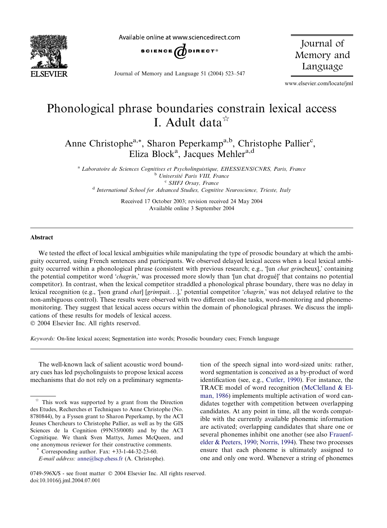

Available online at www.sciencedirect.com



Journal of Memory and Language

Journal of Memory and Language 51 (2004) 523–547

www.elsevier.com/locate/jml

# Phonological phrase boundaries constrain lexical access I. Adult data $\mathbb{R}$

Anne Christophe<sup>a,\*</sup>, Sharon Peperkamp<sup>a,b</sup>, Christophe Pallier<sup>c</sup>, Eliza Block<sup>a</sup>, Jacques Mehler<sup>a,d</sup>

<sup>a</sup> Laboratoire de Sciences Cognitives et Psycholinguistique, EHESS/ENS/CNRS, Paris, France <sup>b</sup> Université Paris VIII, France <sup>c</sup> SHFJ Orsay, France <sup>d</sup> International School for Advanced Studies, Cognitive Neuroscience, Trieste, Italy

> Received 17 October 2003; revision received 24 May 2004 Available online 3 September 2004

# Abstract

We tested the effect of local lexical ambiguities while manipulating the type of prosodic boundary at which the ambiguity occurred, using French sentences and participants. We observed delayed lexical access when a local lexical ambiguity occurred within a phonological phrase (consistent with previous research; e.g., '[un *chat grincheux]*,' containing the potential competitor word 'chagrin,' was processed more slowly than '[un chat drogue]' that contains no potential competitor). In contrast, when the lexical competitor straddled a phonological phrase boundary, there was no delay in lexical recognition (e.g., '[son grand *chat*] [grimpait...],' potential competitor '*chagrin*,' was not delayed relative to the non-ambiguous control). These results were observed with two different on-line tasks, word-monitoring and phonememonitoring. They suggest that lexical access occurs within the domain of phonological phrases. We discuss the implications of these results for models of lexical access.

2004 Elsevier Inc. All rights reserved.

Keywords: On-line lexical access; Segmentation into words; Prosodic boundary cues; French language

The well-known lack of salient acoustic word boundary cues has led psycholinguists to propose lexical access mechanisms that do not rely on a preliminary segmentation of the speech signal into word-sized units: rather, word segmentation is conceived as a by-product of word identification (see, e.g., [Cutler, 1990\)](#page-23-0). For instance, the TRACE model of word recognition [\(McClelland & El](#page-23-0)[man, 1986](#page-23-0)) implements multiple activation of word candidates together with competition between overlapping candidates. At any point in time, all the words compatible with the currently available phonemic information are activated; overlapping candidates that share one or several phonemes inhibit one another (see also [Frauenf](#page-23-0)[elder & Peeters, 1990;](#page-23-0) [Norris, 1994](#page-24-0)). These two processes ensure that each phoneme is ultimately assigned to one and only one word. Whenever a string of phonemes

 $\star$  This work was supported by a grant from the Direction des Etudes, Recherches et Techniques to Anne Christophe (No. 8780844), by a Fyssen grant to Sharon Peperkamp, by the ACI Jeunes Chercheurs to Christophe Pallier, as well as by the GIS Sciences de la Cognition (99N35/0008) and by the ACI Cognitique. We thank Sven Mattys, James McQueen, and one anonymous reviewer for their constructive comments. \* Corresponding author. Fax: +33-1-44-32-23-60.

E-mail address: [anne@lscp.ehess.fr](mailto:anne@lscp.ehess.fr ) (A. Christophe).

<sup>0749-596</sup>X/\$ - see front matter  $\odot$  2004 Elsevier Inc. All rights reserved. doi:10.1016/j.jml.2004.07.001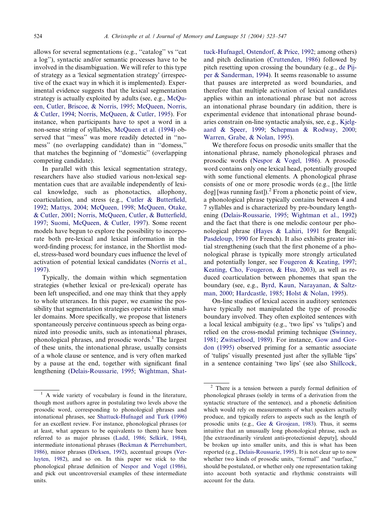allows for several segmentations (e.g., ''catalog'' vs ''cat a log''), syntactic and/or semantic processes have to be involved in the disambiguation. We will refer to this type of strategy as a 'lexical segmentation strategy' (irrespective of the exact way in which it is implemented). Experimental evidence suggests that the lexical segmentation strategy is actually exploited by adults (see, e.g., [McQu](#page-23-0)[een, Cutler, Briscoe, & Norris, 1995;](#page-23-0) [McQueen, Norris,](#page-23-0) [& Cutler, 1994;](#page-23-0) [Norris, McQueen, & Cutler, 1995\)](#page-24-0). For instance, when participants have to spot a word in a non-sense string of syllables, [McQueen et al. \(1994\)](#page-23-0) observed that ''mess'' was more readily detected in ''nomess'' (no overlapping candidate) than in ''domess,'' that matches the beginning of ''domestic'' (overlapping competing candidate).

In parallel with this lexical segmentation strategy, researchers have also studied various non-lexical segmentation cues that are available independently of lexical knowledge, such as phonotactics, allophony, coarticulation, and stress (e.g., [Cutler & Butterfield,](#page-23-0) [1992](#page-23-0); [Mattys, 2004;](#page-23-0) [McQueen, 1998](#page-23-0); [McQueen, Otake,](#page-24-0) [& Cutler, 2001;](#page-24-0) [Norris, McQueen, Cutler, & Butterfield,](#page-24-0) [1997](#page-24-0); [Suomi, McQueen, & Cutler, 1997](#page-24-0)). Some recent models have begun to explore the possibility to incorporate both pre-lexical and lexical information in the word-finding process; for instance, in the Shortlist model, stress-based word boundary cues influence the level of activation of potential lexical candidates [\(Norris et al.,](#page-24-0) [1997](#page-24-0)).

Typically, the domain within which segmentation strategies (whether lexical or pre-lexical) operate has been left unspecified, and one may think that they apply to whole utterances. In this paper, we examine the possibility that segmentation strategies operate within smaller domains. More specifically, we propose that listeners spontaneously perceive continuous speech as being organized into prosodic units, such as intonational phrases, phonological phrases, and prosodic words.<sup>1</sup> The largest of these units, the intonational phrase, usually consists of a whole clause or sentence, and is very often marked by a pause at the end, together with significant final lengthening [\(Delais-Roussarie, 1995;](#page-23-0) [Wightman, Shat-](#page-24-0) [tuck-Hufnagel, Ostendorf, & Price, 1992](#page-24-0); among others) and pitch declination ([Cruttenden, 1986](#page-23-0)) followed by pitch resetting upon crossing the boundary (e.g., [de Pij](#page-23-0)[per & Sanderman, 1994\)](#page-23-0). It seems reasonable to assume that pauses are interpreted as word boundaries, and therefore that multiple activation of lexical candidates applies within an intonational phrase but not across an intonational phrase boundary (in addition, there is experimental evidence that intonational phrase boundaries constrain on-line syntactic analysis, see, e.g., [Kjelg](#page-23-0)[aard & Speer, 1999;](#page-23-0) [Schepman & Rodway, 2000](#page-24-0); [Warren, Grabe, & Nolan, 1995](#page-24-0)).

We therefore focus on prosodic units smaller that the intonational phrase, namely phonological phrases and prosodic words [\(Nespor & Vogel, 1986\)](#page-24-0). A prosodic word contains only one lexical head, potentially grouped with some functional elements. A phonological phrase consists of one or more prosodic words (e.g., [the little  $\log$  [was running fast]).<sup>2</sup> From a phonetic point of view, a phonological phrase typically contains between 4 and 7 syllables and is characterized by pre-boundary lengthening [\(Delais-Roussarie, 1995;](#page-23-0) [Wightman et al., 1992\)](#page-24-0) and the fact that there is one melodic contour per phonological phrase ([Hayes & Lahiri, 1991](#page-23-0) for Bengali; [Pasdeloup, 1990](#page-24-0) for French). It also exhibits greater initial strengthening (such that the first phoneme of a phonological phrase is typically more strongly articulated and potentially longer, see [Fougeron & Keating, 1997](#page-23-0); [Keating, Cho, Fougeron, & Hsu, 2003\)](#page-23-0), as well as reduced coarticulation between phonemes that span the boundary (see, e.g., [Byrd, Kaun, Narayanan, & Saltz](#page-22-0)[man, 2000;](#page-22-0) [Hardcastle, 1985;](#page-23-0) [Holst & Nolan, 1995\)](#page-23-0).

On-line studies of lexical access in auditory sentences have typically not manipulated the type of prosodic boundary involved. They often exploited sentences with a local lexical ambiguity (e.g., 'two lips' vs 'tulips') and relied on the cross-modal priming technique [\(Swinney,](#page-24-0) [1981](#page-24-0); [Zwitserlood, 1989\)](#page-24-0). For instance, [Gow and Gor](#page-23-0)[don \(1995\)](#page-23-0) observed priming for a semantic associate of 'tulips' visually presented just after the syllable 'lips' in a sentence containing 'two lips' (see also [Shillcock,](#page-24-0)

 $<sup>1</sup>$  A wide variety of vocabulary is found in the literature,</sup> though most authors agree in postulating two levels above the prosodic word, corresponding to phonological phrases and intonational phrases, see [Shattuck-Hufnagel and Turk \(1996\)](#page-24-0) for an excellent review. For instance, phonological phrases (or at least, what appears to be equivalents to them) have been referred to as major phrases [\(Ladd, 1986](#page-23-0); [Selkirk, 1984\)](#page-24-0), intermediate intonational phrases [\(Beckman & Pierrehumbert,](#page-22-0) [1986](#page-22-0)), minor phrases ([Dirksen, 1992](#page-23-0)), accentual groups ([Ver](#page-24-0)[luyten, 1982\)](#page-24-0), and so on. In this paper we stick to the phonological phrase definition of [Nespor and Vogel \(1986\)](#page-24-0), and pick out uncontroversial examples of these intermediate units.

<sup>2</sup> There is a tension between a purely formal definition of phonological phrases (solely in terms of a derivation from the syntactic structure of the sentence), and a phonetic definition which would rely on measurements of what speakers actually produce, and typically refers to aspects such as the length of prosodic units (e.g., [Gee & Grosjean, 1983](#page-23-0)). Thus, it seems intuitive that an unusually long phonological phrase, such as [the extraordinarily virulent anti-protectionist deputy], should be broken up into smaller units, and this is what has been reported (e.g., [Delais-Roussarie, 1995\)](#page-23-0). It is not clear up to now whether two kinds of prosodic units, ''formal'' and ''surface,'' should be postulated, or whether only one representation taking into account both syntactic and rhythmic constraints will account for the data.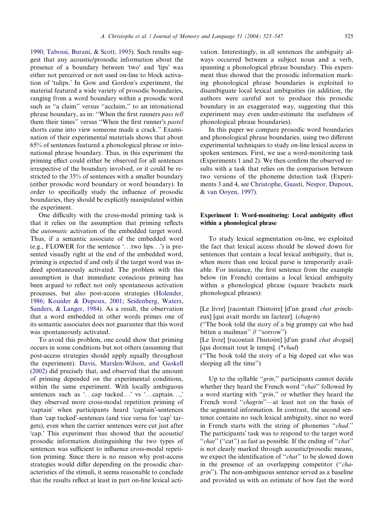[1990](#page-24-0); [Tabossi, Burani, & Scott, 1995\)](#page-24-0). Such results suggest that any acoustic/prosodic information about the presence of a boundary between 'two' and 'lips' was either not perceived or not used on-line to block activation of 'tulips.' In Gow and Gordon's experiment, the material featured a wide variety of prosodic boundaries, ranging from a word boundary within a prosodic word such as "a claim" versus "acclaim," to an intonational phrase boundary, as in: ''When the first runners pass tell them their times" versus "When the first runner's pastel shorts came into view someone made a crack.'' Examination of their experimental materials shows that about 65% of sentences featured a phonological phrase or intonational phrase boundary. Thus, in this experiment the priming effect could either be observed for all sentences irrespective of the boundary involved, or it could be restricted to the 35% of sentences with a smaller boundary (either prosodic word boundary or word boundary). In order to specifically study the influence of prosodic boundaries, they should be explicitly manipulated within the experiment.

One difficulty with the cross-modal priming task is that it relies on the assumption that priming reflects the automatic activation of the embedded target word. Thus, if a semantic associate of the embedded word (e.g., FLOWER for the sentence  $\ldots$  two lips...) is presented visually right at the end of the embedded word, priming is expected if and only if the target word was indeed spontaneously activated. The problem with this assumption is that immediate conscious priming has been argued to reflect not only spontaneous activation processes, but also post-access strategies [\(Holender,](#page-23-0) [1986](#page-23-0); [Kouider & Dupoux, 2001](#page-23-0); [Seidenberg, Waters,](#page-24-0) [Sanders, & Langer, 1984\)](#page-24-0). As a result, the observation that a word embedded in other words primes one of its semantic associates does not guarantee that this word was spontaneously activated.

To avoid this problem, one could show that priming occurs in some conditions but not others (assuming that post-access strategies should apply equally throughout the experiment). [Davis, Marslen-Wilson, and Gaskell](#page-23-0) [\(2002\)](#page-23-0) did precisely that, and observed that the amount of priming depended on the experimental conditions, within the same experiment. With locally ambiguous sentences such as '...cap tucked...' vs '...captain...,' they observed more cross-modal repetition priming of 'captain' when participants heard 'captain'-sentences than 'cap tucked'-sentences (and vice versa for 'cap' targets), even when the carrier sentences were cut just after 'cap.' This experiment thus showed that the acoustic/ prosodic information distinguishing the two types of sentences was sufficient to influence cross-modal repetition priming. Since there is no reason why post-access strategies would differ depending on the prosodic characteristics of the stimuli, it seems reasonable to conclude that the results reflect at least in part on-line lexical activation. Interestingly, in all sentences the ambiguity always occurred between a subject noun and a verb, spanning a phonological phrase boundary. This experiment thus showed that the prosodic information marking phonological phrase boundaries is exploited to disambiguate local lexical ambiguities (in addition, the authors were careful not to produce this prosodic boundary in an exaggerated way, suggesting that this experiment may even under-estimate the usefulness of phonological phrase boundaries).

In this paper we compare prosodic word boundaries and phonological phrase boundaries, using two different experimental techniques to study on-line lexical access in spoken sentences. First, we use a word-monitoring task (Experiments 1 and 2). We then confirm the observed results with a task that relies on the comparison between two versions of the phoneme detection task (Experiments 3 and 4, see [Christophe, Guasti, Nespor, Dupoux,](#page-23-0) [& van Ooyen, 1997\)](#page-23-0).

# Experiment 1: Word-monitoring: Local ambiguity effect within a phonological phrase

To study lexical segmentation on-line, we exploited the fact that lexical access should be slowed down for sentences that contain a local lexical ambiguity, that is, when more than one lexical parse is temporarily available. For instance, the first sentence from the example below (in French) contains a local lexical ambiguity within a phonological phrase (square brackets mark phonological phrases):

[Le livre] [racontait l'histoire] [d'un grand chat grincheux] [qui avait mordu un facteur]. (chagrin)

(''The book told the story of a big grumpy cat who had bitten a mailman'' // ''sorrow'')

[Le livre] [racontait l'histoire] [d'un grand *chat drogué*] [qui dormait tout le temps]. (\*chad)

(''The book told the story of a big doped cat who was sleeping all the time'')

Up to the syllable ''grin,'' participants cannot decide whether they heard the French word "chat" followed by a word starting with ''grin,'' or whether they heard the French word "*chagrin*"—at least not on the basis of the segmental information. In contrast, the second sentence contains no such lexical ambiguity, since no word in French starts with the string of phonemes ''chad.'' The participants' task was to respond to the target word "chat" ("cat") as fast as possible. If the ending of "chat" is not clearly marked through acoustic/prosodic means, we expect the identification of "*chat*" to be slowed down in the presence of an overlapping competitor (''chagrin''). The non-ambiguous sentence served as a baseline and provided us with an estimate of how fast the word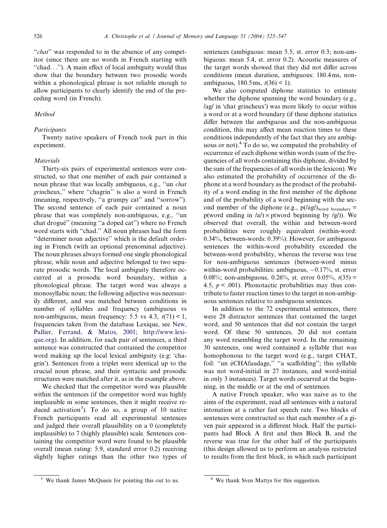"chat" was responded to in the absence of any competitor (since there are no words in French starting with ''chad...''). A main effect of local ambiguity would thus show that the boundary between two prosodic words within a phonological phrase is not reliable enough to allow participants to clearly identify the end of the preceding word (in French).

#### Method

#### **Participants**

Twenty native speakers of French took part in this experiment.

# Materials

Thirty-six pairs of experimental sentences were constructed, so that one member of each pair contained a noun phrase that was locally ambiguous, e.g., "un *chat* grincheux,'' where ''chagrin'' is also a word in French (meaning, respectively, ''a grumpy cat'' and ''sorrow''). The second sentence of each pair contained a noun phrase that was completely non-ambiguous, e.g., ''un chat drogue´'' (meaning ''a doped cat'') where no French word starts with ''chad.'' All noun phrases had the form ''determiner noun adjective'' which is the default ordering in French (with an optional prenominal adjective). The noun phrases always formed one single phonological phrase, while noun and adjective belonged to two separate prosodic words. The local ambiguity therefore occurred at a prosodic word boundary, within a phonological phrase. The target word was always a monosyllabic noun; the following adjective was necessarily different, and was matched between conditions in number of syllables and frequency (ambiguous vs non-ambiguous, mean frequency: 5.5 vs 4.3,  $t(71) < 1$ , frequencies taken from the database Lexique, see [New,](#page-24-0) [Pallier, Ferrand, & Matos, 2001](#page-24-0); [http://www.lexi](http://www.lexique.org)[que.org\)](http://www.lexique.org). In addition, for each pair of sentences, a third sentence was constructed that contained the competitor word making up the local lexical ambiguity (e.g: 'chagrin'). Sentences from a triplet were identical up to the crucial noun phrase, and their syntactic and prosodic structures were matched after it, as in the example above.

We checked that the competitor word was plausible within the sentences (if the competitor word was highly implausible in some sentences, then it might receive reduced activation<sup>3</sup>). To do so, a group of 10 native French participants read all experimental sentences and judged their overall plausibility on a 0 (completely implausible) to 7 (highly plausible) scale. Sentences containing the competitor word were found to be plausible overall (mean rating: 5.9, standard error 0.2) receiving slightly higher ratings than the other two types of sentences (ambiguous: mean 5.5, st. error 0.3; non-ambiguous: mean 5.4, st. error 0.2). Acoustic measures of the target words showed that they did not differ across conditions (mean duration, ambiguous: 180.4ms, nonambiguous,  $180.5 \text{ ms}, t(36) < 1$ .

We also computed diphone statistics to estimate whether the diphone spanning the word boundary (e.g., /ag/ in 'chat grincheux') was more likely to occur within a word or at a word boundary (if these diphone statistics differ between the ambiguous and the non-ambiguous condition, this may affect mean reaction times to these conditions independently of the fact that they are ambiguous or not).<sup>4</sup> To do so, we computed the probability of occurrence of each diphone within words (sum of the frequencies of all words containing this diphone, divided by the sum of the frequencies of all words in the lexicon). We also estimated the probability of occurrence of the diphone at a word boundary as the product of the probability of a word ending in the first member of the diphone and of the probability of a word beginning with the second member of the diphone (e.g.,  $p(\text{lag})_{word}$  boundary = p(word ending in  $\langle a \rangle \times p$ (word beginning by  $\langle g \rangle$ )). We observed that overall, the within and between-word probabilities were roughly equivalent (within-word: 0.34%, between-words: 0.39%). However, for ambiguous sentences the within-word probability exceeded the between-word probability, whereas the reverse was true for non-ambiguous sentences (between-word minus within-word probabilities: ambiguous,  $-0.17%$ , st. error 0.08%; non-ambiguous, 0.26%, st. error 0.05%,  $t(35)$  = 4.5,  $p < .001$ ). Phonotactic probabilities may thus contribute to faster reaction times to the target in non-ambiguous sentences relative to ambiguous sentences.

In addition to the 72 experimental sentences, there were 28 distractor sentences that contained the target word, and 50 sentences that did not contain the target word. Of these 50 sentences, 20 did not contain any word resembling the target word. In the remaining 30 sentences, one word contained a syllable that was homophonous to the target word (e.g., target CHAT, foil: "un éCHAfaudage," "a scaffolding"; this syllable was not word-initial in 27 instances, and word-initial in only 3 instances). Target words occurred at the beginning, in the middle or at the end of sentences.

A native French speaker, who was naive as to the aims of the experiment, read all sentences with a natural intonation at a rather fast speech rate. Two blocks of sentences were constructed so that each member of a given pair appeared in a different block. Half the participants had Block A first and then Block B, and the reverse was true for the other half of the participants (this design allowed us to perform an analysis restricted to results from the first block, in which each participant

<sup>&</sup>lt;sup>3</sup> We thank James McQueen for pointing this out to us.  $4\%$  We thank Sven Mattys for this suggestion.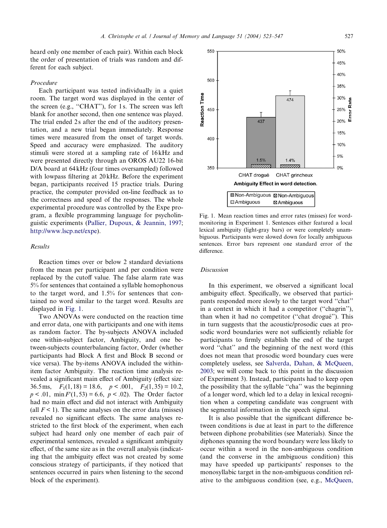heard only one member of each pair). Within each block the order of presentation of trials was random and different for each subject.

#### Procedure

Each participant was tested individually in a quiet room. The target word was displayed in the center of the screen (e.g., "CHAT"), for 1s. The screen was left blank for another second, then one sentence was played. The trial ended 2s after the end of the auditory presentation, and a new trial began immediately. Response times were measured from the onset of target words. Speed and accuracy were emphasized. The auditory stimuli were stored at a sampling rate of 16 kHz and were presented directly through an OROS AU22 16-bit D/A board at 64 kHz (four times oversampled) followed with lowpass filtering at  $20$  kHz. Before the experiment began, participants received 15 practice trials. During practice, the computer provided on-line feedback as to the correctness and speed of the responses. The whole experimental procedure was controlled by the Expe program, a flexible programming language for psycholinguistic experiments [\(Pallier, Dupoux, & Jeannin, 1997](#page-24-0); <http://www.lscp.net/expe>).

# Results

Reaction times over or below 2 standard deviations from the mean per participant and per condition were replaced by the cutoff value. The false alarm rate was 5% for sentences that contained a syllable homophonous to the target word, and 1.5% for sentences that contained no word similar to the target word. Results are displayed in Fig. 1.

Two ANOVAs were conducted on the reaction time and error data, one with participants and one with items as random factor. The by-subjects ANOVA included one within-subject factor, Ambiguity, and one between-subjects counterbalancing factor, Order (whether participants had Block A first and Block B second or vice versa). The by-items ANOVA included the withinitem factor Ambiguity. The reaction time analysis revealed a significant main effect of Ambiguity (effect size: 36.5ms,  $F_1(1, 18) = 18.6$ ,  $p < .001$ ,  $F_2(1, 35) = 10.2$ ,  $p < .01$ , min  $F'(1, 53) = 6.6$ ,  $p < .02$ ). The Order factor had no main effect and did not interact with Ambiguity (all  $F < 1$ ). The same analyses on the error data (misses) revealed no significant effects. The same analyses restricted to the first block of the experiment, when each subject had heard only one member of each pair of experimental sentences, revealed a significant ambiguity effect, of the same size as in the overall analysis (indicating that the ambiguity effect was not created by some conscious strategy of participants, if they noticed that sentences occurred in pairs when listening to the second block of the experiment).



Fig. 1. Mean reaction times and error rates (misses) for wordmonitoring in Experiment 1. Sentences either featured a local lexical ambiguity (light-gray bars) or were completely unambiguous. Participants were slowed down for locally ambiguous sentences. Error bars represent one standard error of the difference.

#### Discussion

In this experiment, we observed a significant local ambiguity effect. Specifically, we observed that participants responded more slowly to the target word ''chat'' in a context in which it had a competitor (''chagrin''), than when it had no competitor ("chat drogué"). This in turn suggests that the acoustic/prosodic cues at prosodic word boundaries were not sufficiently reliable for participants to firmly establish the end of the target word ''chat'' and the beginning of the next word (this does not mean that prosodic word boundary cues were completely useless, see [Salverda, Dahan, & McQueen,](#page-24-0) [2003;](#page-24-0) we will come back to this point in the discussion of Experiment 3). Instead, participants had to keep open the possibility that the syllable ''cha'' was the beginning of a longer word, which led to a delay in lexical recognition when a competing candidate was congruent with the segmental information in the speech signal.

It is also possible that the significant difference between conditions is due at least in part to the difference between diphone probabilities (see Materials). Since the diphones spanning the word boundary were less likely to occur within a word in the non-ambiguous condition (and the converse in the ambiguous condition) this may have speeded up participants' responses to the monosyllabic target in the non-ambiguous condition relative to the ambiguous condition (see, e.g., [McQueen,](#page-23-0)

550

50%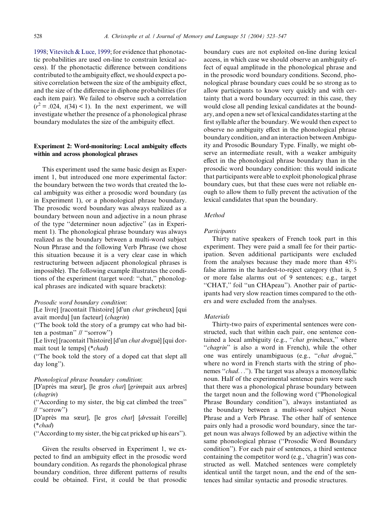[1998](#page-23-0); [Vitevitch & Luce, 1999](#page-24-0); for evidence that phonotactic probabilities are used on-line to constrain lexical access). If the phonotactic difference between conditions contributed to the ambiguity effect, we should expect a positive correlation between the size of the ambiguity effect, and the size of the difference in diphone probabilities (for each item pair). We failed to observe such a correlation  $(r^2 = .024, t(34) < 1)$ . In the next experiment, we will investigate whether the presence of a phonological phrase boundary modulates the size of the ambiguity effect.

# Experiment 2: Word-monitoring: Local ambiguity effects within and across phonological phrases

This experiment used the same basic design as Experiment 1, but introduced one more experimental factor: the boundary between the two words that created the local ambiguity was either a prosodic word boundary (as in Experiment 1), or a phonological phrase boundary. The prosodic word boundary was always realized as a boundary between noun and adjective in a noun phrase of the type ''determiner noun adjective'' (as in Experiment 1). The phonological phrase boundary was always realized as the boundary between a multi-word subject Noun Phrase and the following Verb Phrase (we chose this situation because it is a very clear case in which restructuring between adjacent phonological phrases is impossible). The following example illustrates the conditions of the experiment (target word: ''chat,'' phonological phrases are indicated with square brackets):

### Prosodic word boundary condition:

[Le livre] [racontait l'histoire] [d'un *chat grin*cheux] [qui avait mordu] [un facteur] (chagrin)

(''The book told the story of a grumpy cat who had bitten a postman'' // ''sorrow'')

[Le livre] [racontait l'histoire] [d'un chat drogué] [qui dormait tout le temps] (\*chad)

(''The book told the story of a doped cat that slept all day long'').

# Phonological phrase boundary condition:

[D'après ma sœur], [le gros chat] [grimpait aux arbres] (chagrin)

(''According to my sister, the big cat climbed the trees'' // ''sorrow'')

[D'après ma sœur], [le gros chat] [dressait l'oreille] (\*chad)

(''According to my sister, the big cat pricked up his ears'').

Given the results observed in Experiment 1, we expected to find an ambiguity effect in the prosodic word boundary condition. As regards the phonological phrase boundary condition, three different patterns of results could be obtained. First, it could be that prosodic boundary cues are not exploited on-line during lexical access, in which case we should observe an ambiguity effect of equal amplitude in the phonological phrase and in the prosodic word boundary conditions. Second, phonological phrase boundary cues could be so strong as to allow participants to know very quickly and with certainty that a word boundary occurred: in this case, they would close all pending lexical candidates at the boundary, and open a new set of lexical candidates starting at the first syllable after the boundary. We would then expect to observe no ambiguity effect in the phonological phrase boundary condition, and an interaction between Ambiguity and Prosodic Boundary Type. Finally, we might observe an intermediate result, with a weaker ambiguity effect in the phonological phrase boundary than in the prosodic word boundary condition: this would indicate that participants were able to exploit phonological phrase boundary cues, but that these cues were not reliable enough to allow them to fully prevent the activation of the lexical candidates that span the boundary.

### Method

# Participants

Thirty native speakers of French took part in this experiment. They were paid a small fee for their participation. Seven additional participants were excluded from the analyses because they made more than 45% false alarms in the hardest-to-reject category (that is, 5 or more false alarms out of 9 sentences; e.g., target "CHAT," foil "un CHApeau"). Another pair of participants had very slow reaction times compared to the others and were excluded from the analyses.

#### Materials

Thirty-two pairs of experimental sentences were constructed, such that within each pair, one sentence contained a local ambiguity (e.g., "chat grincheux," where "chagrin" is also a word in French), while the other one was entirely unambiguous (e.g., "chat drogué," where no word in French starts with the string of phonemes ''chad...''). The target was always a monosyllabic noun. Half of the experimental sentence pairs were such that there was a phonological phrase boundary between the target noun and the following word (''Phonological Phrase Boundary condition''), always instantiated as the boundary between a multi-word subject Noun Phrase and a Verb Phrase. The other half of sentence pairs only had a prosodic word boundary, since the target noun was always followed by an adjective within the same phonological phrase (''Prosodic Word Boundary condition''). For each pair of sentences, a third sentence containing the competitor word (e.g., 'chagrin') was constructed as well. Matched sentences were completely identical until the target noun, and the end of the sentences had similar syntactic and prosodic structures.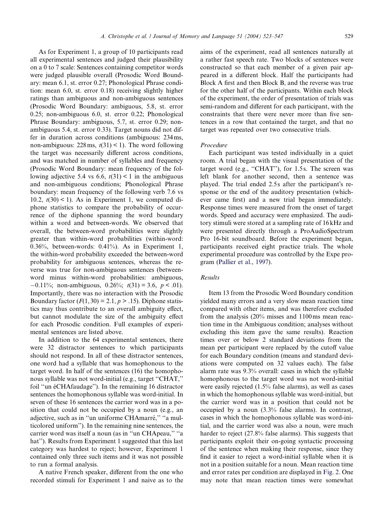As for Experiment 1, a group of 10 participants read all experimental sentences and judged their plausibility on a 0 to 7 scale: Sentences containing competitor words were judged plausible overall (Prosodic Word Boundary: mean 6.1, st. error 0.27; Phonological Phrase condition: mean 6.0, st. error 0.18) receiving slightly higher ratings than ambiguous and non-ambiguous sentences (Prosodic Word Boundary: ambiguous, 5.8, st. error 0.25; non-ambiguous 6.0, st. error 0.22; Phonological Phrase Boundary: ambiguous, 5.7, st. error 0.29; nonambiguous 5.4, st. error 0.33). Target nouns did not differ in duration across conditions (ambiguous: 234ms, non-ambiguous:  $228 \text{ ms}, t(31) < 1$ ). The word following the target was necessarily different across conditions, and was matched in number of syllables and frequency (Prosodic Word Boundary: mean frequency of the following adjective 5.4 vs 6.6,  $t(31) < 1$  in the ambiguous and non-ambiguous conditions; Phonological Phrase boundary: mean frequency of the following verb 7.6 vs 10.2,  $t(30)$  < 1). As in Experiment 1, we computed diphone statistics to compare the probability of occurrence of the diphone spanning the word boundary within a word and between-words. We observed that overall, the between-word probabilities were slightly greater than within-word probabilities (within-word: 0.36%, between-words: 0.41%). As in Experiment 1, the within-word probability exceeded the between-word probability for ambiguous sentences, whereas the reverse was true for non-ambiguous sentences (betweenword minus within-word probabilities: ambiguous,  $-0.11\%$ ; non-ambiguous,  $0.26\%$ ;  $t(31) = 3.6$ ,  $p < .01$ ). Importantly, there was no interaction with the Prosodic Boundary factor  $(F(1, 30) = 2.1, p > .15)$ . Diphone statistics may thus contribute to an overall ambiguity effect, but cannot modulate the size of the ambiguity effect for each Prosodic condition. Full examples of experimental sentences are listed above.

In addition to the 64 experimental sentences, there were 32 distractor sentences to which participants should not respond. In all of these distractor sentences, one word had a syllable that was homophonous to the target word. In half of the sentences (16) the homophonous syllable was not word-initial (e.g., target ''CHAT,'' foil "un éCHAfaudage"). In the remaining 16 distractor sentences the homophonous syllable was word-initial. In seven of these 16 sentences the carrier word was in a position that could not be occupied by a noun (e.g., an adjective, such as in "un uniforme CHAmarré," "a multicolored uniform''). In the remaining nine sentences, the carrier word was itself a noun (as in ''un CHApeau,'' ''a hat''). Results from Experiment 1 suggested that this last category was hardest to reject; however, Experiment 1 contained only three such items and it was not possible to run a formal analysis.

A native French speaker, different from the one who recorded stimuli for Experiment 1 and naive as to the aims of the experiment, read all sentences naturally at a rather fast speech rate. Two blocks of sentences were constructed so that each member of a given pair appeared in a different block. Half the participants had Block A first and then Block B, and the reverse was true for the other half of the participants. Within each block of the experiment, the order of presentation of trials was semi-random and different for each participant, with the constraints that there were never more than five sentences in a row that contained the target, and that no target was repeated over two consecutive trials.

#### Procedure

Each participant was tested individually in a quiet room. A trial began with the visual presentation of the target word (e.g., "CHAT"), for 1.5s. The screen was left blank for another second, then a sentence was played. The trial ended 2.5s after the participant's response or the end of the auditory presentation (whichever came first) and a new trial began immediately. Response times were measured from the onset of target words. Speed and accuracy were emphasized. The auditory stimuli were stored at a sampling rate of 16 kHz and were presented directly through a ProAudioSpectrum Pro 16-bit soundboard. Before the experiment began, participants received eight practice trials. The whole experimental procedure was controlled by the Expe program [\(Pallier et al., 1997\)](#page-24-0).

# Results

Item 13 from the Prosodic Word Boundary condition yielded many errors and a very slow mean reaction time compared with other items, and was therefore excluded from the analysis (20% misses and 1100ms mean reaction time in the Ambiguous condition; analyses without excluding this item gave the same results). Reaction times over or below 2 standard deviations from the mean per participant were replaced by the cutoff value for each Boundary condition (means and standard deviations were computed on 32 values each). The false alarm rate was 9.3% overall: cases in which the syllable homophonous to the target word was not word-initial were easily rejected (1.5% false alarms), as well as cases in which the homophonous syllable was word-initial, but the carrier word was in a position that could not be occupied by a noun (3.3% false alarms). In contrast, cases in which the homophonous syllable was word-initial, and the carrier word was also a noun, were much harder to reject (27.8% false alarms). This suggests that participants exploit their on-going syntactic processing of the sentence when making their response, since they find it easier to reject a word-initial syllable when it is not in a position suitable for a noun. Mean reaction time and error rates per condition are displayed in [Fig. 2.](#page-7-0) One may note that mean reaction times were somewhat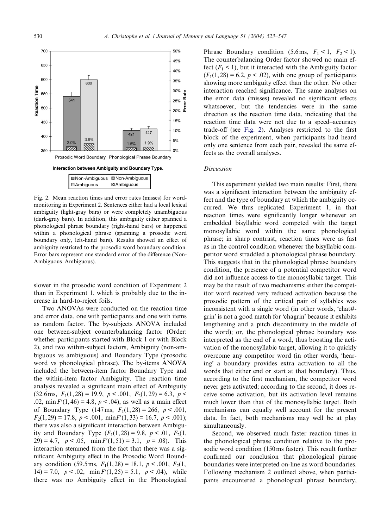<span id="page-7-0"></span>

Fig. 2. Mean reaction times and error rates (misses) for wordmonitoring in Experiment 2. Sentences either had a local lexical ambiguity (light-gray bars) or were completely unambiguous (dark-gray bars). In addition, this ambiguity either spanned a phonological phrase boundary (right-hand bars) or happened within a phonological phrase (spanning a prosodic word boundary only, left-hand bars). Results showed an effect of ambiguity restricted to the prosodic word boundary condition. Error bars represent one standard error of the difference (Non-Ambiguous–Ambiguous).

slower in the prosodic word condition of Experiment 2 than in Experiment 1, which is probably due to the increase in hard-to-reject foils.

Two ANOVAs were conducted on the reaction time and error data, one with participants and one with items as random factor. The by-subjects ANOVA included one between-subject counterbalancing factor (Order: whether participants started with Block 1 or with Block 2), and two within-subject factors, Ambiguity (non-ambiguous vs ambiguous) and Boundary Type (prosodic word vs phonological phrase). The by-items ANOVA included the between-item factor Boundary Type and the within-item factor Ambiguity. The reaction time analysis revealed a significant main effect of Ambiguity  $(32.6 \text{ ms}, F_1(1, 28) = 19.9, p < .001, F_2(1, 29) = 6.3, p <$ .02, min  $F'(1, 46) = 4.8$ ,  $p < .04$ ), as well as a main effect of Boundary Type  $(147 \text{ ms}, F_1(1, 28) = 266, p < .001,$  $F_2(1, 29) = 17.8, p < .001, \text{ min}F'(1, 33) = 16.7, p < .001);$ there was also a significant interaction between Ambiguity and Boundary Type  $(F_1(1, 28) = 9.8, p < .01, F_2(1,$  $29$ ) = 4.7,  $p < .05$ ,  $\min F'(1, 51) = 3.1$ ,  $p = .08$ ). This interaction stemmed from the fact that there was a significant Ambiguity effect in the Prosodic Word Boundary condition (59.5ms,  $F_1(1, 28) = 18.1$ ,  $p < .001$ ,  $F_2(1, 1)$ 14) = 7.0,  $p < .02$ ,  $\min F'(1, 25) = 5.1$ ,  $p < .04$ ), while there was no Ambiguity effect in the Phonological Phrase Boundary condition (5.6ms,  $F_1 < 1$ ,  $F_2 < 1$ ). The counterbalancing Order factor showed no main effect  $(F_1 < 1)$ , but it interacted with the Ambiguity factor  $(F_1(1, 28) = 6.2, p < .02)$ , with one group of participants showing more ambiguity effect than the other. No other interaction reached significance. The same analyses on the error data (misses) revealed no significant effects whatsoever, but the tendencies were in the same direction as the reaction time data, indicating that the reaction time data were not due to a speed–accuracy trade-off (see Fig. 2). Analyses restricted to the first block of the experiment, when participants had heard only one sentence from each pair, revealed the same effects as the overall analyses.

#### Discussion

This experiment yielded two main results: First, there was a significant interaction between the ambiguity effect and the type of boundary at which the ambiguity occurred. We thus replicated Experiment 1, in that reaction times were significantly longer whenever an embedded bisyllabic word competed with the target monosyllabic word within the same phonological phrase; in sharp contrast, reaction times were as fast as in the control condition whenever the bisyllabic competitor word straddled a phonological phrase boundary. This suggests that in the phonological phrase boundary condition, the presence of a potential competitor word did not influence access to the monosyllabic target. This may be the result of two mechanisms: either the competitor word received very reduced activation because the prosodic pattern of the critical pair of syllables was inconsistent with a single word (in other words, 'chat#grin' is not a good match for 'chagrin' because it exhibits lengthening and a pitch discontinuity in the middle of the word); or, the phonological phrase boundary was interpreted as the end of a word, thus boosting the activation of the monosyllabic target, allowing it to quickly overcome any competitor word (in other words, hearing' a boundary provides extra activation to all the words that either end or start at that boundary). Thus, according to the first mechanism, the competitor word never gets activated; according to the second, it does receive some activation, but its activation level remains much lower than that of the monosyllabic target. Both mechanisms can equally well account for the present data. In fact, both mechanisms may well be at play simultaneously.

Second, we observed much faster reaction times in the phonological phrase condition relative to the prosodic word condition (150ms faster). This result further confirmed our conclusion that phonological phrase boundaries were interpreted on-line as word boundaries. Following mechanism 2 outlined above, when participants encountered a phonological phrase boundary,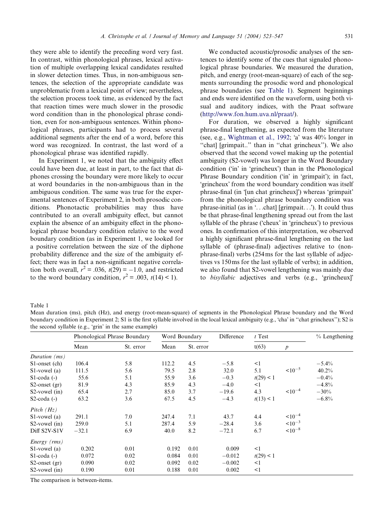<span id="page-8-0"></span>they were able to identify the preceding word very fast. In contrast, within phonological phrases, lexical activation of multiple overlapping lexical candidates resulted in slower detection times. Thus, in non-ambiguous sentences, the selection of the appropriate candidate was unproblematic from a lexical point of view; nevertheless, the selection process took time, as evidenced by the fact that reaction times were much slower in the prosodic word condition than in the phonological phrase condition, even for non-ambiguous sentences. Within phonological phrases, participants had to process several additional segments after the end of a word, before this word was recognized. In contrast, the last word of a phonological phrase was identified rapidly.

In Experiment 1, we noted that the ambiguity effect could have been due, at least in part, to the fact that diphones crossing the boundary were more likely to occur at word boundaries in the non-ambiguous than in the ambiguous condition. The same was true for the experimental sentences of Experiment 2, in both prosodic conditions. Phonotactic probabilities may thus have contributed to an overall ambiguity effect, but cannot explain the absence of an ambiguity effect in the phonological phrase boundary condition relative to the word boundary condition (as in Experiment 1, we looked for a positive correlation between the size of the diphone probability difference and the size of the ambiguity effect; there was in fact a non-significant negative correlation both overall,  $r^2 = .036$ ,  $t(29) = -1.0$ , and restricted to the word boundary condition,  $r^2 = .003$ ,  $t(14) < 1$ ).

We conducted acoustic/prosodic analyses of the sentences to identify some of the cues that signaled phonological phrase boundaries. We measured the duration, pitch, and energy (root-mean-square) of each of the segments surrounding the prosodic word and phonological phrase boundaries (see Table 1). Segment beginnings and ends were identified on the waveform, using both visual and auditory indices, with the Praat software ([http://www.fon.hum.uva.nl/praat/\)](http://www.fon.hum.uva.nl/praat/).

For duration, we observed a highly significant phrase-final lengthening, as expected from the literature (see, e.g., [Wightman et al., 1992](#page-24-0); 'a' was 40% longer in "chat] [grimpait.." than in "chat grincheux"). We also observed that the second vowel making up the potential ambiguity (S2-vowel) was longer in the Word Boundary condition ('in' in 'grincheux') than in the Phonological Phrase Boundary condition ('in' in 'grimpait'); in fact, 'grincheux' from the word boundary condition was itself phrase-final (in '[un chat grincheux]') whereas 'grimpait' from the phonological phrase boundary condition was phrase-initial (as in '...chat] [grimpait...'). It could thus be that phrase-final lengthening spread out from the last syllable of the phrase ('cheux' in 'grincheux') to previous ones. In confirmation of this interpretation, we observed a highly significant phrase-final lengthening on the last syllable of (phrase-final) adjectives relative to (nonphrase-final) verbs (254ms for the last syllable of adjectives vs 150ms for the last syllable of verbs); in addition, we also found that S2-vowel lengthening was mainly due to *bisyllabic* adjectives and verbs (e.g., 'grincheux]'

Table 1

Mean duration (ms), pitch (Hz), and energy (root-mean-square) of segments in the Phonological Phrase boundary and the Word boundary condition in Experiment 2; S1 is the first syllable involved in the local lexical ambiguity (e.g., 'cha' in "chat grincheux"); S2 is the second syllable (e.g., 'grin' in the same example)

|                              | Phonological Phrase Boundary |           | Word Boundary |           | Difference | $t$ Test  |                  | $%$ Lengthening |
|------------------------------|------------------------------|-----------|---------------|-----------|------------|-----------|------------------|-----------------|
|                              | Mean                         | St. error | Mean          | St. error |            | t(63)     | $\boldsymbol{p}$ |                 |
| Duration $(ms)$              |                              |           |               |           |            |           |                  |                 |
| S1-onset (ch)                | 106.4                        | 5.8       | 112.2         | 4.5       | $-5.8$     | <1        |                  | $-5.4%$         |
| $S1$ -vowel (a)              | 111.5                        | 5.6       | 79.5          | 2.8       | 32.0       | 5.1       | $10^{-5}$        | 40.2%           |
| $S1$ -coda $(-)$             | 55.6                         | 5.1       | 55.9          | 3.6       | $-0.3$     | t(29) < 1 |                  | $-0.4%$         |
| $S2$ -onset $(gr)$           | 81.9                         | 4.3       | 85.9          | 4.3       | $-4.0$     | <1        |                  | $-4.8%$         |
| $S2$ -vowel (in)             | 65.4                         | 2.7       | 85.0          | 3.7       | $-19.6$    | 4.3       | $10^{-4}$        | $-30%$          |
| $S2$ -coda $(-)$             | 63.2                         | 3.6       | 67.5          | 4.5       | $-4.3$     | t(13) < 1 |                  | $-6.8%$         |
| Pitch $(Hz)$                 |                              |           |               |           |            |           |                  |                 |
| $S1$ -vowel (a)              | 291.1                        | 7.0       | 247.4         | 7.1       | 43.7       | 4.4       | $10^{-4}$        |                 |
| $S2$ -vowel (in)             | 259.0                        | 5.1       | 287.4         | 5.9       | $-28.4$    | 3.6       | $10^{-3}$        |                 |
| Diff S2V-S1V                 | $-32.1$                      | 6.9       | 40.0          | 8.2       | $-72.1$    | 6.7       | ${<}10^{-8}$     |                 |
| <i>Energy</i> ( <i>rms</i> ) |                              |           |               |           |            |           |                  |                 |
| $S1$ -vowel (a)              | 0.202                        | 0.01      | 0.192         | 0.01      | 0.009      | <1        |                  |                 |
| $S1$ -coda $(-)$             | 0.072                        | 0.02      | 0.084         | 0.01      | $-0.012$   | t(29) < 1 |                  |                 |
| $S2$ -onset $(gr)$           | 0.090                        | 0.02      | 0.092         | 0.02      | $-0.002$   | $\leq$ 1  |                  |                 |
| S <sub>2</sub> -vowel (in)   | 0.190                        | 0.01      | 0.188         | 0.01      | 0.002      | $\leq$ 1  |                  |                 |

The comparison is between-items.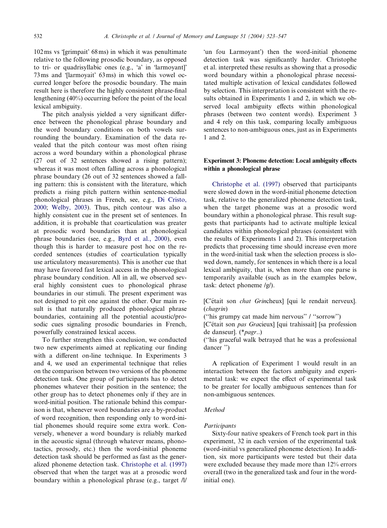102 ms vs '[grimpait' 68 ms) in which it was penultimate relative to the following prosodic boundary, as opposed to tri- or quadrisyllabic ones (e.g., 'a' in 'larmoyant]' 73 ms and '[larmoyait' 63 ms) in which this vowel occurred longer before the prosodic boundary. The main result here is therefore the highly consistent phrase-final lengthening (40%) occurring before the point of the local lexical ambiguity.

The pitch analysis yielded a very significant difference between the phonological phrase boundary and the word boundary conditions on both vowels surrounding the boundary. Examination of the data revealed that the pitch contour was most often rising across a word boundary within a phonological phrase (27 out of 32 sentences showed a rising pattern); whereas it was most often falling across a phonological phrase boundary (26 out of 32 sentences showed a falling pattern: this is consistent with the literature, which predicts a rising pitch pattern within sentence-medial phonological phrases in French, see, e.g., [Di Cristo,](#page-23-0) [2000](#page-23-0); [Welby, 2003\)](#page-24-0). Thus, pitch contour was also a highly consistent cue in the present set of sentences. In addition, it is probable that coarticulation was greater at prosodic word boundaries than at phonological phrase boundaries (see, e.g., [Byrd et al., 2000](#page-22-0)), even though this is harder to measure post hoc on the recorded sentences (studies of coarticulation typically use articulatory measurements). This is another cue that may have favored fast lexical access in the phonological phrase boundary condition. All in all, we observed several highly consistent cues to phonological phrase boundaries in our stimuli. The present experiment was not designed to pit one against the other. Our main result is that naturally produced phonological phrase boundaries, containing all the potential acoustic/prosodic cues signaling prosodic boundaries in French, powerfully constrained lexical access.

To further strengthen this conclusion, we conducted two new experiments aimed at replicating our finding with a different on-line technique. In Experiments 3 and 4, we used an experimental technique that relies on the comparison between two versions of the phoneme detection task. One group of participants has to detect phonemes whatever their position in the sentence; the other group has to detect phonemes only if they are in word-initial position. The rationale behind this comparison is that, whenever word boundaries are a by-product of word recognition, then responding only to word-initial phonemes should require some extra work. Conversely, whenever a word boundary is reliably marked in the acoustic signal (through whatever means, phonotactics, prosody, etc.) then the word-initial phoneme detection task should be performed as fast as the generalized phoneme detection task. [Christophe et al. \(1997\)](#page-23-0) observed that when the target was at a prosodic word boundary within a phonological phrase (e.g., target /l/

'un fou Larmoyant') then the word-initial phoneme detection task was significantly harder. Christophe et al. interpreted these results as showing that a prosodic word boundary within a phonological phrase necessitated multiple activation of lexical candidates followed by selection. This interpretation is consistent with the results obtained in Experiments 1 and 2, in which we observed local ambiguity effects within phonological phrases (between two content words). Experiment 3 and 4 rely on this task, comparing locally ambiguous sentences to non-ambiguous ones, just as in Experiments 1 and 2.

# Experiment 3: Phoneme detection: Local ambiguity effects within a phonological phrase

[Christophe et al. \(1997\)](#page-23-0) observed that participants were slowed down in the word-initial phoneme detection task, relative to the generalized phoneme detection task, when the target phoneme was at a prosodic word boundary within a phonological phrase. This result suggests that participants had to activate multiple lexical candidates within phonological phrases (consistent with the results of Experiments 1 and 2). This interpretation predicts that processing time should increase even more in the word-initial task when the selection process is slowed down, namely, for sentences in which there is a local lexical ambiguity, that is, when more than one parse is temporarily available (such as in the examples below, task: detect phoneme /g/).

[C'était son *chat Grincheux*] [qui le rendait nerveux]. (chagrin)

(''his grumpy cat made him nervous'' / ''sorrow'')

[C'était son pas Gracieux] [qui trahissait] [sa profession de danseur]. (\*pagr..)

(''his graceful walk betrayed that he was a professional dancer '')

A replication of Experiment 1 would result in an interaction between the factors ambiguity and experimental task: we expect the effect of experimental task to be greater for locally ambiguous sentences than for non-ambiguous sentences.

# Method

#### **Participants**

Sixty-four native speakers of French took part in this experiment, 32 in each version of the experimental task (word-initial vs generalized phoneme detection). In addition, six more participants were tested but their data were excluded because they made more than 12% errors overall (two in the generalized task and four in the wordinitial one).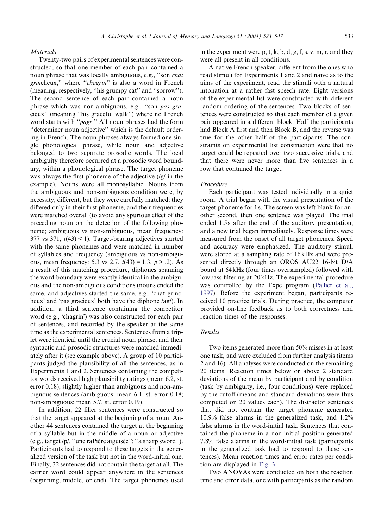A. Christophe et al. / Journal of Memory and Language 51 (2004) 523–547 533

Twenty-two pairs of experimental sentences were constructed, so that one member of each pair contained a noun phrase that was locally ambiguous, e.g., ''son chat grincheux,'' where ''chagrin'' is also a word in French (meaning, respectively, ''his grumpy cat'' and ''sorrow''). The second sentence of each pair contained a noun phrase which was non-ambiguous, e.g., ''son pas gracieux'' (meaning ''his graceful walk'') where no French word starts with ''pagr.'' All noun phrases had the form ''determiner noun adjective'' which is the default ordering in French. The noun phrases always formed one single phonological phrase, while noun and adjective belonged to two separate prosodic words. The local ambiguity therefore occurred at a prosodic word boundary, within a phonological phrase. The target phoneme was always the first phoneme of the adjective (/g/ in the example). Nouns were all monosyllabic. Nouns from the ambiguous and non-ambiguous condition were, by necessity, different, but they were carefully matched: they differed only in their first phoneme, and their frequencies were matched overall (to avoid any spurious effect of the preceding noun on the detection of the following phoneme; ambiguous vs non-ambiguous, mean frequency: 377 vs 371,  $t(43)$  < 1). Target-bearing adjectives started with the same phonemes and were matched in number of syllables and frequency (ambiguous vs non-ambiguous, mean frequency: 5.3 vs 2.7,  $t(43) = 1.3$ ,  $p > .2$ ). As a result of this matching procedure, diphones spanning the word boundary were exactly identical in the ambiguous and the non-ambiguous conditions (nouns ended the same, and adjectives started the same, e.g., 'chat grincheux' and 'pas gracieux' both have the diphone /ag/). In addition, a third sentence containing the competitor word (e.g., 'chagrin') was also constructed for each pair of sentences, and recorded by the speaker at the same time as the experimental sentences. Sentences from a triplet were identical until the crucial noun phrase, and their syntactic and prosodic structures were matched immediately after it (see example above). A group of 10 participants judged the plausibility of all the sentences, as in

Experiments 1 and 2. Sentences containing the competitor words received high plausibility ratings (mean 6.2, st. error 0.18), slightly higher than ambiguous and non-ambiguous sentences (ambiguous: mean 6.1, st. error 0.18; non-ambiguous: mean 5.7, st. error 0.19). In addition, 22 filler sentences were constructed so

that the target appeared at the beginning of a noun. Another 44 sentences contained the target at the beginning of a syllable but in the middle of a noun or adjective (e.g., target /p/, "une raPière aiguisée"; "a sharp sword"). Participants had to respond to these targets in the generalized version of the task but not in the word-initial one. Finally, 32 sentences did not contain the target at all. The carrier word could appear anywhere in the sentences (beginning, middle, or end). The target phonemes used in the experiment were p, t, k, b, d, g, f, s, v, m, r, and they were all present in all conditions.

A native French speaker, different from the ones who read stimuli for Experiments 1 and 2 and naive as to the aims of the experiment, read the stimuli with a natural intonation at a rather fast speech rate. Eight versions of the experimental list were constructed with different random ordering of the sentences. Two blocks of sentences were constructed so that each member of a given pair appeared in a different block. Half the participants had Block A first and then Block B, and the reverse was true for the other half of the participants. The constraints on experimental list construction were that no target could be repeated over two successive trials, and that there were never more than five sentences in a row that contained the target.

#### Procedure

Each participant was tested individually in a quiet room. A trial began with the visual presentation of the target phoneme for 1 s. The screen was left blank for another second, then one sentence was played. The trial ended 1.5 s after the end of the auditory presentation, and a new trial began immediately. Response times were measured from the onset of all target phonemes. Speed and accuracy were emphasized. The auditory stimuli were stored at a sampling rate of 16 kHz and were presented directly through an OROS AU22 16-bit D/A board at 64 kHz (four times oversampled) followed with lowpass filtering at 20 kHz. The experimental procedure was controlled by the Expe program [\(Pallier et al.,](#page-24-0) [1997\)](#page-24-0). Before the experiment began, participants received 10 practice trials. During practice, the computer provided on-line feedback as to both correctness and reaction times of the responses.

# Results

Two items generated more than 50% misses in at least one task, and were excluded from further analysis (items 2 and 16). All analyses were conducted on the remaining 20 items. Reaction times below or above 2 standard deviations of the mean by participant and by condition (task by ambiguity, i.e., four conditions) were replaced by the cutoff (means and standard deviations were thus computed on 20 values each). The distractor sentences that did not contain the target phoneme generated 10.9% false alarms in the generalized task, and 1.2% false alarms in the word-initial task. Sentences that contained the phoneme in a non-initial position generated 7.8% false alarms in the word-initial task (participants in the generalized task had to respond to these sentences). Mean reaction times and error rates per condition are displayed in [Fig. 3.](#page-11-0)

Two ANOVAs were conducted on both the reaction time and error data, one with participants as the random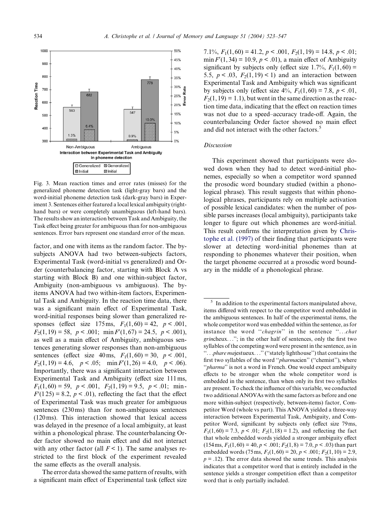<span id="page-11-0"></span>

Fig. 3. Mean reaction times and error rates (misses) for the generalized phoneme detection task (light-gray bars) and the word-initial phoneme detection task (dark-gray bars) in Experiment 3. Sentences either featured a local lexical ambiguity (righthand bars) or were completely unambiguous (left-hand bars). The results show an interaction between Task and Ambiguity, the Task effect being greater for ambiguous than for non-ambiguous sentences. Error bars represent one standard error of the mean.

factor, and one with items as the random factor. The bysubjects ANOVA had two between-subjects factors, Experimental Task (word-initial vs generalized) and Order (counterbalancing factor, starting with Block A vs starting with Block B) and one within-subject factor, Ambiguity (non-ambiguous vs ambiguous). The byitems ANOVA had two within-item factors, Experimental Task and Ambiguity. In the reaction time data, there was a significant main effect of Experimental Task, word-initial responses being slower than generalized responses (effect size 175ms,  $F_1(1, 60) = 42$ ,  $p < .001$ ,  $F_2(1, 19) = 58$ ,  $p < .001$ ;  $\min F'(1, 67) = 24.5$ ,  $p < .001$ ), as well as a main effect of Ambiguity, ambiguous sentences generating slower responses than non-ambiguous sentences (effect size 40ms,  $F_1(1, 60) = 30$ ,  $p < .001$ ,  $F_2(1, 19) = 4.6, \quad p < .05; \quad \min F'(1, 26) = 4.0, \quad p < .06).$ Importantly, there was a significant interaction between Experimental Task and Ambiguity (effect size 111ms,  $F_1(1, 60) = 59$ ,  $p < .001$ ,  $F_2(1, 19) = 9.5$ ,  $p < .01$ ; min- $F(125) = 8.2, p < .01$ , reflecting the fact that the effect of Experimental Task was much greater for ambiguous sentences (230ms) than for non-ambiguous sentences (120ms). This interaction showed that lexical access was delayed in the presence of a local ambiguity, at least within a phonological phrase. The counterbalancing Order factor showed no main effect and did not interact with any other factor (all  $F < 1$ ). The same analyses restricted to the first block of the experiment revealed the same effects as the overall analysis.

The error data showed the same pattern of results, with a significant main effect of Experimental task (effect size 7.1%,  $F_1(1, 60) = 41.2, p < .001, F_2(1, 19) = 14.8, p < .01;$  $\min F(1, 34) = 10.9, p < .01$ , a main effect of Ambiguity significant by subjects only (effect size 1.7%,  $F_1(1, 60) =$ 5.5,  $p < .03$ ,  $F<sub>2</sub>(1, 19) < 1$  and an interaction between Experimental Task and Ambiguity which was significant by subjects only (effect size  $4\%$ ,  $F_1(1, 60) = 7.8$ ,  $p < .01$ ,  $F<sub>2</sub>(1, 19) = 1.1$ , but went in the same direction as the reaction time data, indicating that the effect on reaction times was not due to a speed–accuracy trade-off. Again, the counterbalancing Order factor showed no main effect and did not interact with the other factors.<sup>5</sup>

#### Discussion

This experiment showed that participants were slowed down when they had to detect word-initial phonemes, especially so when a competitor word spanned the prosodic word boundary studied (within a phonological phrase). This result suggests that within phonological phrases, participants rely on multiple activation of possible lexical candidates: when the number of possible parses increases (local ambiguity), participants take longer to figure out which phonemes are word-initial. This result confirms the interpretation given by [Chris](#page-23-0)[tophe et al. \(1997\)](#page-23-0) of their finding that participants were slower at detecting word-initial phonemes than at responding to phonemes whatever their position, when the target phoneme occurred at a prosodic word boundary in the middle of a phonological phrase.

<sup>&</sup>lt;sup>5</sup> In addition to the experimental factors manipulated above, items differed with respect to the competitor word embedded in the ambiguous sentences. In half of the experimental items, the whole competitor word was embedded within the sentence, as for instance the word "chagrin" in the sentence "...chat grincheux...''; in the other half of sentences, only the first two syllables of the competing word were present in the sentence, as in "...phare majestueux..." ("stately lighthouse") that contains the first two syllables of the word "pharmacien" ("chemist"), where "*pharma*" is not a word in French. One would expect ambiguity effects to be stronger when the whole competitor word is embedded in the sentence, than when only its first two syllables are present. To check the influence of this variable, we conducted two additional ANOVAs with the same factors as before and one more within-subject (respectively, between-items) factor, Competitor Word (whole vs part). This ANOVA yielded a three-way interaction between Experimental Task, Ambiguity, and Competitor Word, significant by subjects only (effect size 79ms,  $F_1(1, 60) = 7.3$ ,  $p < .01$ ;  $F_2(1, 18) = 1.2$ ), and reflecting the fact that whole embedded words yielded a stronger ambiguity effect  $(154 \text{ ms}, F_1(1, 60) = 40, p < .001; F_2(1, 8) = 7.0, p < .03)$  than part embedded words (75ms,  $F_1(1, 60) = 20$ ,  $p < .001$ ;  $F_2(1, 10) = 2.9$ ,  $p = .12$ ). The error data showed the same trends. This analysis indicates that a competitor word that is entirely included in the sentence yields a stronger competition effect than a competitor word that is only partially included.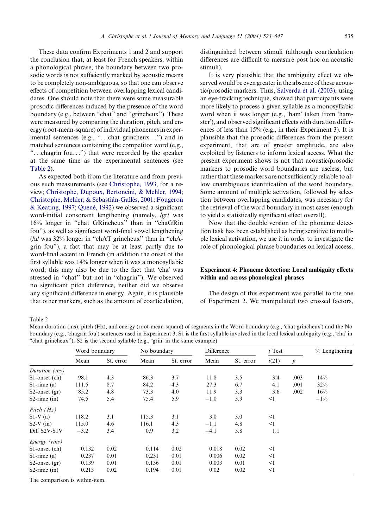These data confirm Experiments 1 and 2 and support the conclusion that, at least for French speakers, within a phonological phrase, the boundary between two prosodic words is not sufficiently marked by acoustic means to be completely non-ambiguous, so that one can observe effects of competition between overlapping lexical candidates. One should note that there were some measurable prosodic differences induced by the presence of the word boundary (e.g., between ''chat'' and ''grincheux''). These were measured by comparing the duration, pitch, and energy (root-mean-square) of individual phonemes in experimental sentences (e.g., ''...chat grincheux...'') and in matched sentences containing the competitor word (e.g., ''...chagrin fou...'') that were recorded by the speaker at the same time as the experimental sentences (see Table 2).

As expected both from the literature and from previous such measurements (see [Christophe, 1993,](#page-23-0) for a review; [Christophe, Dupoux, Bertoncini, & Mehler, 1994](#page-23-0); Christophe, Mehler, & Sebastián-Gallés, 2001; [Fougeron](#page-23-0) [& Keating, 1997](#page-23-0); Quené, 1992) we observed a significant word-initial consonant lengthening (namely, /gr/ was 16% longer in ''chat GRincheux'' than in ''chaGRin fou''), as well as significant word-final vowel lengthening (/a/ was 32% longer in ''chAT grincheux'' than in ''chAgrin fou''), a fact that may be at least partly due to word-final accent in French (in addition the onset of the first syllable was 14% longer when it was a monosyllabic word; this may also be due to the fact that 'cha' was stressed in ''chat'' but not in ''chagrin''). We observed no significant pitch difference, neither did we observe any significant difference in energy. Again, it is plausible that other markers, such as the amount of coarticulation, distinguished between stimuli (although coarticulation differences are difficult to measure post hoc on acoustic stimuli).

It is very plausible that the ambiguity effect we observed would be even greater in the absence of these acoustic/prosodic markers. Thus, [Salverda et al. \(2003\)](#page-24-0), using an eye-tracking technique, showed that participants were more likely to process a given syllable as a monosyllabic word when it was longer (e.g., 'ham' taken from 'hamster'), and observed significant effects with duration differences of less than 15% (e.g., in their Experiment 3). It is plausible that the prosodic differences from the present experiment, that are of greater amplitude, are also exploited by listeners to inform lexical access. What the present experiment shows is not that acoustic/prosodic markers to prosodic word boundaries are useless, but rather that these markers are not sufficiently reliable to allow unambiguous identification of the word boundary. Some amount of multiple activation, followed by selection between overlapping candidates, was necessary for the retrieval of the word boundary in most cases (enough to yield a statistically significant effect overall).

Now that the double version of the phoneme detection task has been established as being sensitive to multiple lexical activation, we use it in order to investigate the role of phonological phrase boundaries on lexical access.

# Experiment 4: Phoneme detection: Local ambiguity effects within and across phonological phrases

The design of this experiment was parallel to the one of Experiment 2. We manipulated two crossed factors,

Table 2

Mean duration (ms), pitch (Hz), and energy (root-mean-square) of segments in the Word boundary (e.g., 'chat grincheux') and the No boundary (e.g., 'chagrin fou') sentences used in Experiment 3; S1 is the first syllable involved in the local lexical ambiguity (e.g., 'cha' in "chat grincheux"); S2 is the second syllable (e.g., 'grin' in the same example)

|                              | Word boundary |           | No boundary |           | Difference |           | $t$ Test |                  | % Lengthening |  |
|------------------------------|---------------|-----------|-------------|-----------|------------|-----------|----------|------------------|---------------|--|
|                              | Mean          | St. error | Mean        | St. error | Mean       | St. error | t(21)    | $\boldsymbol{p}$ |               |  |
| Duration (ms)                |               |           |             |           |            |           |          |                  |               |  |
| S1-onset (ch)                | 98.1          | 4.3       | 86.3        | 3.7       | 11.8       | 3.5       | 3.4      | .003             | 14%           |  |
| $S1$ -rime (a)               | 111.5         | 8.7       | 84.2        | 4.3       | 27.3       | 6.7       | 4.1      | .001             | 32%           |  |
| $S2$ -onset $(gr)$           | 85.2          | 4.8       | 73.3        | 4.0       | 11.9       | 3.3       | 3.6      | .002             | 16%           |  |
| $S2$ -rime (in)              | 74.5          | 5.4       | 75.4        | 5.9       | $-1.0$     | 3.9       | $\leq$ 1 |                  | $-1\%$        |  |
| Pitch $(Hz)$                 |               |           |             |           |            |           |          |                  |               |  |
| $S1-V(a)$                    | 118.2         | 3.1       | 115.3       | 3.1       | 3.0        | 3.0       | $\leq$ 1 |                  |               |  |
| $S2-V$ (in)                  | 115.0         | 4.6       | 116.1       | 4.3       | $-1.1$     | 4.8       | $\leq$ 1 |                  |               |  |
| Diff S2V-S1V                 | $-3.2$        | 3.4       | 0.9         | 3.2       | $-4.1$     | 3.8       | 1.1      |                  |               |  |
| <i>Energy</i> ( <i>rms</i> ) |               |           |             |           |            |           |          |                  |               |  |
| S1-onset (ch)                | 0.132         | 0.02      | 0.114       | 0.02      | 0.018      | 0.02      | $\leq$ 1 |                  |               |  |
| $S1$ -rime (a)               | 0.237         | 0.01      | 0.231       | 0.01      | 0.006      | 0.02      | $\leq$ 1 |                  |               |  |
| $S2$ -onset $(gr)$           | 0.139         | 0.01      | 0.136       | 0.01      | 0.003      | 0.01      | $\leq$ 1 |                  |               |  |
| $S2$ -rime (in)              | 0.213         | 0.02      | 0.194       | 0.01      | 0.02       | 0.02      | $\leq$ 1 |                  |               |  |

The comparison is within-item.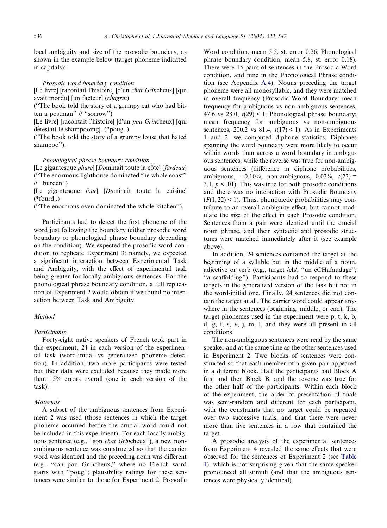local ambiguity and size of the prosodic boundary, as shown in the example below (target phoneme indicated in capitals):

#### Prosodic word boundary condition:

[Le livre] [racontait l'histoire] [d'un *chat Grin*cheux] [qui avait mordu] [un facteur] (chagrin)

(''The book told the story of a grumpy cat who had bitten a postman'' // ''sorrow'')

[Le livre] [racontait l'histoire] [d'un *pou Grin*cheux] [qui détestait le shampooing]. (\*poug..)

(''The book told the story of a grumpy louse that hated shampoo'').

### Phonological phrase boundary condition

[Le gigantesque *phare*] [Dominait toute la côte] (fardeau) (''The enormous lighthouse dominated the whole coast'' // ''burden'')

[Le gigantesque four] [Dominait toute la cuisine] (\*fourd..)

(''The enormous oven dominated the whole kitchen'').

Participants had to detect the first phoneme of the word just following the boundary (either prosodic word boundary or phonological phrase boundary depending on the condition). We expected the prosodic word condition to replicate Experiment 3: namely, we expected a significant interaction between Experimental Task and Ambiguity, with the effect of experimental task being greater for locally ambiguous sentences. For the phonological phrase boundary condition, a full replication of Experiment 2 would obtain if we found no interaction between Task and Ambiguity.

#### Method

#### **Participants**

Forty-eight native speakers of French took part in this experiment, 24 in each version of the experimental task (word-initial vs generalized phoneme detection). In addition, two more participants were tested but their data were excluded because they made more than 15% errors overall (one in each version of the task).

# **Materials**

A subset of the ambiguous sentences from Experiment 2 was used (those sentences in which the target phoneme occurred before the crucial word could not be included in this experiment). For each locally ambiguous sentence (e.g., ''son chat Grincheux''), a new nonambiguous sentence was constructed so that the carrier word was identical and the preceding noun was different (e.g., ''son pou Grincheux,'' where no French word starts with ''poug''; plausibility ratings for these sentences were similar to those for Experiment 2, Prosodic Word condition, mean 5.5, st. error 0.26; Phonological phrase boundary condition, mean 5.8, st. error 0.18). There were 15 pairs of sentences in the Prosodic Word condition, and nine in the Phonological Phrase condition (see Appendix [A.4](#page-21-0)). Nouns preceding the target phoneme were all monosyllabic, and they were matched in overall frequency (Prosodic Word Boundary: mean frequency for ambiguous vs non-ambiguous sentences, 47.6 vs 28.0,  $t(29)$  < 1; Phonological phrase boundary: mean frequency for ambiguous vs non-ambiguous sentences, 200.2 vs 81.4,  $t(17)$  < 1). As in Experiments 1 and 2, we computed diphone statistics. Diphones spanning the word boundary were more likely to occur within words than across a word boundary in ambiguous sentences, while the reverse was true for non-ambiguous sentences (difference in diphone probabilities, ambiguous,  $-0.10\%$ , non-ambiguous,  $0.03\%$ ,  $t(23)$  = 3.1,  $p < .01$ ). This was true for both prosodic conditions and there was no interaction with Prosodic Boundary  $(F(1, 22) \le 1)$ . Thus, phonotactic probabilities may contribute to an overall ambiguity effect, but cannot modulate the size of the effect in each Prosodic condition. Sentences from a pair were identical until the crucial noun phrase, and their syntactic and prosodic structures were matched immediately after it (see example above).

In addition, 24 sentences contained the target at the beginning of a syllable but in the middle of a noun, adjective or verb (e.g., target /ch/, "un éCHafaudage"; "a scaffolding"). Participants had to respond to these targets in the generalized version of the task but not in the word-initial one. Finally, 24 sentences did not contain the target at all. The carrier word could appear anywhere in the sentences (beginning, middle, or end). The target phonemes used in the experiment were p, t, k, b, d, g, f, s, v, j, m, l, and they were all present in all conditions.

The non-ambiguous sentences were read by the same speaker and at the same time as the other sentences used in Experiment 2. Two blocks of sentences were constructed so that each member of a given pair appeared in a different block. Half the participants had Block A first and then Block B, and the reverse was true for the other half of the participants. Within each block of the experiment, the order of presentation of trials was semi-random and different for each participant, with the constraints that no target could be repeated over two successive trials, and that there were never more than five sentences in a row that contained the target.

A prosodic analysis of the experimental sentences from Experiment 4 revealed the same effects that were observed for the sentences of Experiment 2 (see [Table](#page-8-0) [1](#page-8-0)), which is not surprising given that the same speaker pronounced all stimuli (and that the ambiguous sentences were physically identical).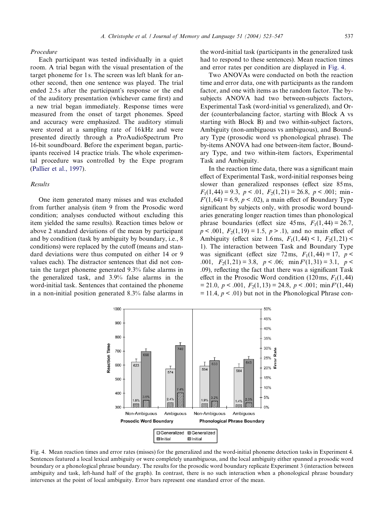# <span id="page-14-0"></span>Procedure

Each participant was tested individually in a quiet room. A trial began with the visual presentation of the target phoneme for 1 s. The screen was left blank for another second, then one sentence was played. The trial ended 2.5s after the participant's response or the end of the auditory presentation (whichever came first) and a new trial began immediately. Response times were measured from the onset of target phonemes. Speed and accuracy were emphasized. The auditory stimuli were stored at a sampling rate of 16 kHz and were presented directly through a ProAudioSpectrum Pro 16-bit soundboard. Before the experiment began, participants received 14 practice trials. The whole experimental procedure was controlled by the Expe program ([Pallier et al., 1997\)](#page-24-0).

#### Results

One item generated many misses and was excluded from further analysis (item 9 from the Prosodic word condition; analyses conducted without excluding this item yielded the same results). Reaction times below or above 2 standard deviations of the mean by participant and by condition (task by ambiguity by boundary, i.e., 8 conditions) were replaced by the cutoff (means and standard deviations were thus computed on either 14 or 9 values each). The distractor sentences that did not contain the target phoneme generated 9.3% false alarms in the generalized task, and 3.9% false alarms in the word-initial task. Sentences that contained the phoneme in a non-initial position generated 8.3% false alarms in

the word-initial task (participants in the generalized task had to respond to these sentences). Mean reaction times and error rates per condition are displayed in Fig. 4.

Two ANOVAs were conducted on both the reaction time and error data, one with participants as the random factor, and one with items as the random factor. The bysubjects ANOVA had two between-subjects factors, Experimental Task (word-initial vs generalized), and Order (counterbalancing factor, starting with Block A vs starting with Block B) and two within-subject factors, Ambiguity (non-ambiguous vs ambiguous), and Boundary Type (prosodic word vs phonological phrase). The by-items ANOVA had one between-item factor, Boundary Type, and two within-item factors, Experimental Task and Ambiguity.

In the reaction time data, there was a significant main effect of Experimental Task, word-initial responses being slower than generalized responses (effect size 85ms,  $F_1(1, 44) = 9.3$ ,  $p < .01$ ,  $F_2(1, 21) = 26.8$ ,  $p < .001$ ; min- $F(1, 64) = 6.9, p < .02$ , a main effect of Boundary Type significant by subjects only, with prosodic word boundaries generating longer reaction times than phonological phrase boundaries (effect size 45ms,  $F_1(1, 44) = 26.7$ ,  $p < .001$ ,  $F_2(1, 19) = 1.5$ ,  $p > .1$ ), and no main effect of Ambiguity (effect size 1.6ms,  $F_1(1, 44) < 1$ ,  $F_2(1, 21) <$ 1). The interaction between Task and Boundary Type was significant (effect size 72ms,  $F_1(1, 44) = 17$ ,  $p <$ .001,  $F_2(1, 21) = 3.8$ ,  $p < .06$ ;  $\min F'(1, 31) = 3.1$ ,  $p < .06$ .09), reflecting the fact that there was a significant Task effect in the Prosodic Word condition (120ms,  $F_1(1, 44)$ )  $= 21.0, p < .001, F_2(1, 13) = 24.8, p < .001; \min F'(1, 44)$  $= 11.4, p < .01$ ) but not in the Phonological Phrase con-



Fig. 4. Mean reaction times and error rates (misses) for the generalized and the word-initial phoneme detection tasks in Experiment 4. Sentences featured a local lexical ambiguity or were completely unambiguous, and the local ambiguity either spanned a prosodic word boundary or a phonological phrase boundary. The results for the prosodic word boundary replicate Experiment 3 (interaction between ambiguity and task, left-hand half of the graph). In contrast, there is no such interaction when a phonological phrase boundary intervenes at the point of local ambiguity. Error bars represent one standard error of the mean.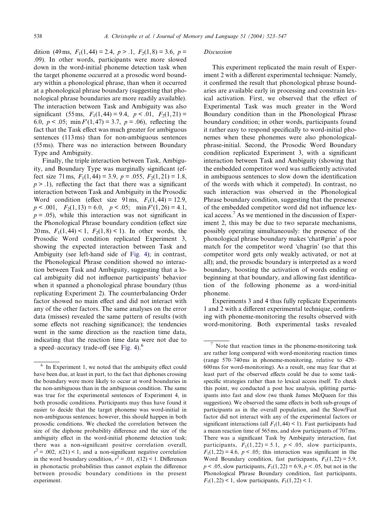dition (49ms,  $F_1(1, 44) = 2.4$ ,  $p > 0.1$ ,  $F_2(1, 8) = 3.6$ ,  $p =$ .09). In other words, participants were more slowed down in the word-initial phoneme detection task when the target phoneme occurred at a prosodic word boundary within a phonological phrase, than when it occurred at a phonological phrase boundary (suggesting that phonological phrase boundaries are more readily available). The interaction between Task and Ambiguity was also significant (55 ms,  $F_1(1, 44) = 9.4$ ,  $p < .01$ ,  $F_2(1, 21) =$ 6.0,  $p < .05$ ; min  $F'(1, 47) = 3.7$ ,  $p = .06$ ), reflecting the fact that the Task effect was much greater for ambiguous sentences (113ms) than for non-ambiguous sentences (55ms). There was no interaction between Boundary Type and Ambiguity.

Finally, the triple interaction between Task, Ambiguity, and Boundary Type was marginally significant (effect size 71 ms,  $F_1(1, 44) = 3.9$ ,  $p = .055$ ,  $F_2(1, 21) = 1.8$ ,  $p > 0.1$ , reflecting the fact that there was a significant interaction between Task and Ambiguity in the Prosodic Word condition (effect size  $91 \text{ ms}$ ,  $F_1(1, 44) = 12.9$ ,  $p < .001$ ,  $F_2(1, 13) = 6.0$ ,  $p < .05$ ;  $\min F'(1, 26) = 4.1$ ,  $p = .05$ ), while this interaction was not significant in the Phonological Phrase boundary condition (effect size 20ms,  $F_1(1, 44) < 1$ ,  $F_2(1, 8) < 1$ ). In other words, the Prosodic Word condition replicated Experiment 3, showing the expected interaction between Task and Ambiguity (see left-hand side of [Fig. 4](#page-14-0)); in contrast, the Phonological Phrase condition showed no interaction between Task and Ambiguity, suggesting that a local ambiguity did not influence participants' behavior when it spanned a phonological phrase boundary (thus replicating Experiment 2). The counterbalancing Order factor showed no main effect and did not interact with any of the other factors. The same analyses on the error data (misses) revealed the same pattern of results (with some effects not reaching significance); the tendencies went in the same direction as the reaction time data, indicating that the reaction time data were not due to a speed–accuracy trade-off (see [Fig. 4\)](#page-14-0).<sup>6</sup>

#### Discussion

This experiment replicated the main result of Experiment 2 with a different experimental technique: Namely, it confirmed the result that phonological phrase boundaries are available early in processing and constrain lexical activation. First, we observed that the effect of Experimental Task was much greater in the Word Boundary condition than in the Phonological Phrase boundary condition; in other words, participants found it rather easy to respond specifically to word-initial phonemes when these phonemes were also phonologicalphrase-initial. Second, the Prosodic Word Boundary condition replicated Experiment 3, with a significant interaction between Task and Ambiguity (showing that the embedded competitor word was sufficiently activated in ambiguous sentences to slow down the identification of the words with which it competed). In contrast, no such interaction was observed in the Phonological Phrase boundary condition, suggesting that the presence of the embedded competitor word did not influence lexical access.<sup>7</sup> As we mentioned in the discussion of Experiment 2, this may be due to two separate mechanisms, possibly operating simultaneously: the presence of the phonological phrase boundary makes 'chat#grin' a poor match for the competitor word 'chagrin' (so that this competitor word gets only weakly activated, or not at all); and, the prosodic boundary is interpreted as a word boundary, boosting the activation of words ending or beginning at that boundary, and allowing fast identification of the following phoneme as a word-initial phoneme.

Experiments 3 and 4 thus fully replicate Experiments 1 and 2 with a different experimental technique, confirming with phoneme-monitoring the results observed with word-monitoring. Both experimental tasks revealed

In Experiment 1, we noted that the ambiguity effect could have been due, at least in part, to the fact that diphones crossing the boundary were more likely to occur at word boundaries in the non-ambiguous than in the ambiguous condition. The same was true for the experimental sentences of Experiment 4, in both prosodic conditions. Participants may thus have found it easier to decide that the target phoneme was word-initial in non-ambiguous sentences; however, this should happen in both prosodic conditions. We checked the correlation between the size of the diphone probability difference and the size of the ambiguity effect in the word-initial phoneme detection task; there was a non-significant positive correlation overall,  $r^2 = .002$ ,  $t(21) < 1$ , and a non-significant negative correlation in the word boundary condition,  $r^2 = .01$ ,  $t(12) < 1$ . Differences in phonotactic probabilities thus cannot explain the difference between prosodic boundary conditions in the present experiment.

 $<sup>7</sup>$  Note that reaction times in the phoneme-monitoring task</sup> are rather long compared with word-monitoring reaction times (range 570–740ms in phoneme-monitoring, relative to 420– 600ms for word-monitoring). As a result, one may fear that at least part of the observed effects could be due to some taskspecific strategies rather than to lexical access itself. To check this point, we conducted a post hoc analysis, splitting participants into fast and slow (we thank James McQueen for this suggestion). We observed the same effects in both sub-groups of participants as in the overall population, and the Slow/Fast factor did not interact with any of the experimental factors or significant interactions (all  $F_1(1, 44) < 1$ ). Fast participants had a mean reaction time of 565ms, and slow participants of 707ms. There was a significant Task by Ambiguity interaction, fast participants,  $F_1(1, 22) = 5.1$ ,  $p < .05$ , slow participants,  $F_1(1, 22) = 4.6$ ,  $p < .05$ ; this interaction was significant in the Word Boundary condition, fast participants,  $F_1(1, 22) = 5.9$ ,  $p < .05$ , slow participants,  $F_1(1, 22) = 6.9$ ,  $p < .05$ , but not in the Phonological Phrase Boundary condition, fast participants,  $F_1(1, 22) < 1$ , slow participants,  $F_1(1, 22) < 1$ .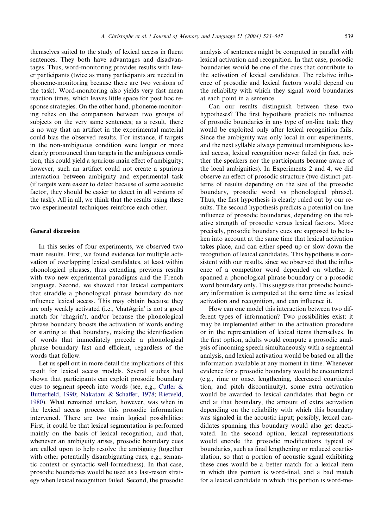themselves suited to the study of lexical access in fluent sentences. They both have advantages and disadvantages. Thus, word-monitoring provides results with fewer participants (twice as many participants are needed in phoneme-monitoring because there are two versions of the task). Word-monitoring also yields very fast mean reaction times, which leaves little space for post hoc response strategies. On the other hand, phoneme-monitoring relies on the comparison between two groups of subjects on the very same sentences; as a result, there is no way that an artifact in the experimental material could bias the observed results. For instance, if targets in the non-ambiguous condition were longer or more clearly pronounced than targets in the ambiguous condition, this could yield a spurious main effect of ambiguity; however, such an artifact could not create a spurious interaction between ambiguity and experimental task (if targets were easier to detect because of some acoustic factor, they should be easier to detect in all versions of the task). All in all, we think that the results using these two experimental techniques reinforce each other.

# General discussion

In this series of four experiments, we observed two main results. First, we found evidence for multiple activation of overlapping lexical candidates, at least within phonological phrases, thus extending previous results with two new experimental paradigms and the French language. Second, we showed that lexical competitors that straddle a phonological phrase boundary do not influence lexical access. This may obtain because they are only weakly activated (i.e., 'chat#grin' is not a good match for 'chagrin'), and/or because the phonological phrase boundary boosts the activation of words ending or starting at that boundary, making the identification of words that immediately precede a phonological phrase boundary fast and efficient, regardless of the words that follow.

Let us spell out in more detail the implications of this result for lexical access models. Several studies had shown that participants can exploit prosodic boundary cues to segment speech into words (see, e.g., [Cutler &](#page-23-0) [Butterfield, 1990;](#page-23-0) [Nakatani & Schaffer, 1978](#page-24-0); [Rietveld,](#page-24-0) [1980](#page-24-0)). What remained unclear, however, was when in the lexical access process this prosodic information intervened. There are two main logical possibilities: First, it could be that lexical segmentation is performed mainly on the basis of lexical recognition, and that, whenever an ambiguity arises, prosodic boundary cues are called upon to help resolve the ambiguity (together with other potentially disambiguating cues, e.g., semantic context or syntactic well-formedness). In that case, prosodic boundaries would be used as a last-resort strategy when lexical recognition failed. Second, the prosodic analysis of sentences might be computed in parallel with lexical activation and recognition. In that case, prosodic boundaries would be one of the cues that contribute to the activation of lexical candidates. The relative influence of prosodic and lexical factors would depend on the reliability with which they signal word boundaries at each point in a sentence.

Can our results distinguish between these two hypotheses? The first hypothesis predicts no influence of prosodic boundaries in any type of on-line task: they would be exploited only after lexical recognition fails. Since the ambiguity was only local in our experiments, and the next syllable always permitted unambiguous lexical access, lexical recognition never failed (in fact, neither the speakers nor the participants became aware of the local ambiguities). In Experiments 2 and 4, we did observe an effect of prosodic structure (two distinct patterns of results depending on the size of the prosodic boundary, prosodic word vs phonological phrase). Thus, the first hypothesis is clearly ruled out by our results. The second hypothesis predicts a potential on-line influence of prosodic boundaries, depending on the relative strength of prosodic versus lexical factors. More precisely, prosodic boundary cues are supposed to be taken into account at the same time that lexical activation takes place, and can either speed up or slow down the recognition of lexical candidates. This hypothesis is consistent with our results, since we observed that the influence of a competitor word depended on whether it spanned a phonological phrase boundary or a prosodic word boundary only. This suggests that prosodic boundary information is computed at the same time as lexical activation and recognition, and can influence it.

How can one model this interaction between two different types of information? Two possibilities exist: it may be implemented either in the activation procedure or in the representation of lexical items themselves. In the first option, adults would compute a prosodic analysis of incoming speech simultaneously with a segmental analysis, and lexical activation would be based on all the information available at any moment in time. Whenever evidence for a prosodic boundary would be encountered (e.g., rime or onset lengthening, decreased coarticulation, and pitch discontinuity), some extra activation would be awarded to lexical candidates that begin or end at that boundary, the amount of extra activation depending on the reliability with which this boundary was signaled in the acoustic input; possibly, lexical candidates spanning this boundary would also get deactivated. In the second option, lexical representations would encode the prosodic modifications typical of boundaries, such as final lengthening or reduced coarticulation, so that a portion of acoustic signal exhibiting these cues would be a better match for a lexical item in which this portion is word-final, and a bad match for a lexical candidate in which this portion is word-me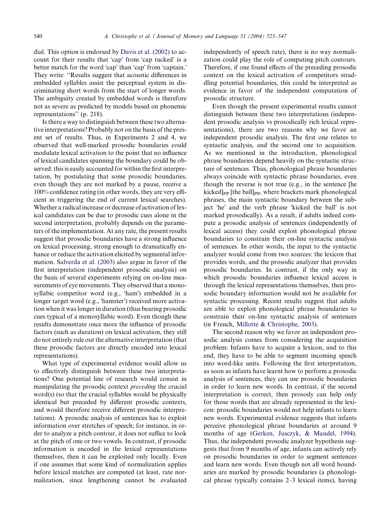dial. This option is endorsed by [Davis et al. \(2002\)](#page-23-0) to account for their results that 'cap' from 'cap tucked' is a better match for the word 'cap' than 'cap' from 'captain.' They write: ''Results suggest that acoustic differences in embedded syllables assist the perceptual system in discriminating short words from the start of longer words. The ambiguity created by embedded words is therefore not as severe as predicted by models based on phonemic representations'' (p. 218).

Is there a way to distinguish between these two alternative interpretations? Probably not on the basis of the present set of results. Thus, in Experiments 2 and 4, we observed that well-marked prosodic boundaries could modulate lexical activation to the point that no influence of lexical candidates spanning the boundary could be observed: this is easily accounted for within the first interpretation, by postulating that some prosodic boundaries, even though they are not marked by a pause, receive a 100% confidence rating (in other words, they are very efficient in triggering the end of current lexical searches). Whether a radical increase or decrease of activation of lexical candidates can be due to prosodic cues alone in the second interpretation, probably depends on the parameters of the implementation. At any rate, the present results suggest that prosodic boundaries have a strong influence on lexical processing, strong enough to dramatically enhance or reduce the activation elicited by segmental information. [Salverda et al. \(2003\)](#page-24-0) also argue in favor of the first interpretation (independent prosodic analysis) on the basis of several experiments relying on on-line measurements of eye movements. They observed that a monosyllabic competitor word (e.g., 'ham') embedded in a longer target word (e.g., 'hamster') received more activation when it was longer in duration (thus bearing prosodic cues typical of a monosyllabic word). Even though these results demonstrate once more the influence of prosodic factors (such as duration) on lexical activation, they still do not entirely rule out the alternative interpretation (that these prosodic factors are directly encoded into lexical representations).

What type of experimental evidence would allow us to effectively distinguish between these two interpretations? One potential line of research would consist in manipulating the prosodic context preceding the crucial word(s) (so that the crucial syllables would be physically identical but preceded by different prosodic contexts, and would therefore receive different prosodic interpretations). A prosodic analysis of sentences has to exploit information over stretches of speech; for instance, in order to analyze a pitch contour, it does not suffice to look at the pitch of one or two vowels. In contrast, if prosodic information is encoded in the lexical representations themselves, then it can be exploited only locally. Even if one assumes that some kind of normalization applies before lexical matches are computed (at least, rate normalization, since lengthening cannot be evaluated

independently of speech rate), there is no way normalization could play the role of computing pitch contours. Therefore, if one found effects of the preceding prosodic context on the lexical activation of competitors straddling potential boundaries, this could be interpreted as evidence in favor of the independent computation of prosodic structure.

Even though the present experimental results cannot distinguish between these two interpretations (independent prosodic analysis vs prosodically rich lexical representations), there are two reasons why we favor an independent prosodic analysis. The first one relates to syntactic analysis, and the second one to acquisition. As we mentioned in the introduction, phonological phrase boundaries depend heavily on the syntactic structure of sentences. Thus, phonological phrase boundaries always coincide with syntactic phrase boundaries, even though the reverse is not true (e.g., in the sentence [he kicked $]_{PP}$  [the ball]<sub>PP</sub>, where brackets mark phonological phrases, the main syntactic boundary between the subject 'he' and the verb phrase 'kicked the ball' is not marked prosodically). As a result, if adults indeed compute a prosodic analysis of sentences (independently of lexical access) they could exploit phonological phrase boundaries to constrain their on-line syntactic analysis of sentences. In other words, the input to the syntactic analyzer would come from two sources: the lexicon that provides words, and the prosodic analyzer that provides prosodic boundaries. In contrast, if the only way in which prosodic boundaries influence lexical access is through the lexical representations themselves, then prosodic boundary information would not be available for syntactic processing. Recent results suggest that adults are able to exploit phonological phrase boundaries to constrain their on-line syntactic analysis of sentences (in French, [Millotte & Christophe, 2003](#page-24-0)).

The second reason why we favor an independent prosodic analysis comes from considering the acquisition problem: Infants have to acquire a lexicon, and to this end, they have to be able to segment incoming speech into word-like units. Following the first interpretation, as soon as infants have learnt how to perform a prosodic analysis of sentences, they can use prosodic boundaries in order to learn new words. In contrast, if the second interpretation is correct, then prosody can help only for those words that are already represented in the lexicon: prosodic boundaries would not help infants to learn new words. Experimental evidence suggests that infants perceive phonological phrase boundaries at around 9 months of age [\(Gerken, Jusczyk, & Mandel, 1994](#page-23-0)). Thus, the independent prosodic analyzer hypothesis suggests that from 9 months of age, infants can actively rely on prosodic boundaries in order to segment sentences and learn new words. Even though not all word boundaries are marked by prosodic boundaries (a phonological phrase typically contains 2–3 lexical items), having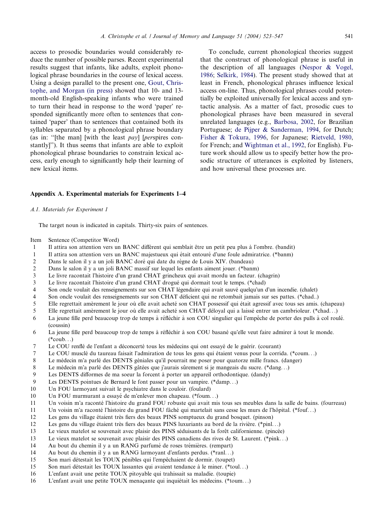access to prosodic boundaries would considerably reduce the number of possible parses. Recent experimental results suggest that infants, like adults, exploit phonological phrase boundaries in the course of lexical access. Using a design parallel to the present one, [Gout, Chris](#page-23-0)[tophe, and Morgan \(in press\)](#page-23-0) showed that 10- and 13 month-old English-speaking infants who were trained to turn their head in response to the word 'paper' responded significantly more often to sentences that contained 'paper' than to sentences that contained both its syllables separated by a phonological phrase boundary (as in: "[the man] [with the least  $pay$ ] [perspires constantly]''). It thus seems that infants are able to exploit phonological phrase boundaries to constrain lexical access, early enough to significantly help their learning of new lexical items.

To conclude, current phonological theories suggest that the construct of phonological phrase is useful in the description of all languages ([Nespor & Vogel,](#page-24-0) [1986;](#page-24-0) [Selkirk, 1984](#page-24-0)). The present study showed that at least in French, phonological phrases influence lexical access on-line. Thus, phonological phrases could potentially be exploited universally for lexical access and syntactic analysis. As a matter of fact, prosodic cues to phonological phrases have been measured in several unrelated languages (e.g., [Barbosa, 2002](#page-22-0), for Brazilian Portuguese; [de Pijper & Sanderman, 1994](#page-23-0), for Dutch; [Fisher & Tokura, 1996,](#page-23-0) for Japanese; [Rietveld, 1980](#page-24-0), for French; and [Wightman et al., 1992](#page-24-0), for English). Future work should allow us to specify better how the prosodic structure of utterances is exploited by listeners, and how universal these processes are.

#### Appendix A. Experimental materials for Experiments 1–4

# A.1. Materials for Experiment 1

The target noun is indicated in capitals. Thirty-six pairs of sentences.

Item Sentence (Competitor Word)

- 1 Il attira son attention vers un BANC différent qui semblait être un petit peu plus à l'ombre. (bandit)
- 1 Il attira son attention vers un BANC majestueux qui était entouré d'une foule admiratrice. (\*banm)
- 2 Dans le salon il y a un joli BANC doré qui date du règne de Louis XIV. (bandeau)
- 2 Dans le salon il y a un joli BANC massif sur lequel les enfants aiment jouer. (\*banm)
- 3 Le livre racontait l'histoire d'un grand CHAT grincheux qui avait mordu un facteur. (chagrin)
- 3 Le livre racontait l'histoire d'un grand CHAT drogué qui dormait tout le temps. (\*chad)
- 4 Son oncle voulait des renseignements sur son CHAT légendaire qui avait sauvé quelqu'un d'un incendie. (chalet)
- 4 Son oncle voulait des renseignements sur son CHAT déficient qui ne retombait jamais sur ses pattes. (\*chad..)<br>5 Elle regrettait amèrement le jour où elle avait acheté son CHAT possessif qui était agressif avec tous ses a
- Elle regrettait amèrement le jour où elle avait acheté son CHAT possessif qui était agressif avec tous ses amis. (chapeau)
- 5 Elle regrettait amèrement le jour où elle avait acheté son CHAT déloyal qui a laissé entrer un cambrioleur. (\*chad...)
- 6 La jeune fille perd beaucoup trop de temps à réfléchir à son COU singulier qui l'empêche de porter des pulls à col roulé. (coussin)
- 6 La jeune fille perd beaucoup trop de temps à réfléchir à son COU basané qu'elle veut faire admirer à tout le monde.  $(*\text{coub} \dots)$
- 7 Le COU renflé de l'enfant a déconcerté tous les médecins qui ont essayé de le guérir. (courant)
- 7 Le COU musclé du taureau faisait l'admiration de tous les gens qui étaient venus pour la corrida. (\*coum...)
- 8 Le médecin m'a parlé des DENTS géniales qu'il pourrait me poser pour quatorze mille francs. (danger)
- 8 Le médecin m'a parlé des DENTS gâtées que j'aurais sûrement si je mangeais du sucre. (\*dang...)
- 9 Les DENTS difformes de ma soeur la forcent à porter un appareil orthodontique. (dandy)
- 9 Les DENTS pointues de Bernard le font passer pour un vampire. (\*damp...)
- 10 Un FOU larmoyant suivait le psychiatre dans le couloir. (foulard)
- 10 Un FOU murmurant a essayé de m'enlever mon chapeau. (\*foum...)
- 11 Un voisin m'a raconté l'histoire du grand FOU robuste qui avait mis tous ses meubles dans la salle de bains. (fourreau)
- 11 Un voisin m'a raconté l'histoire du grand FOU fâché qui martelait sans cesse les murs de l'hôpital. (\*fouf...)
- 12 Les gens du village étaient très fiers des beaux PINS somptueux du grand bosquet. (pinson)
- 12 Les gens du village étaient très fiers des beaux PINS luxuriants au bord de la rivière. (\*pinl...)
- 13 Le vieux matelot se souvenait avec plaisir des PINS séduisants de la forêt californienne. (pincée)
- 13 Le vieux matelot se souvenait avec plaisir des PINS canadiens des rives de St. Laurent. (\*pink...)
- 14 Au bout du chemin il y a un RANG parfumé de roses trémières. (rempart)
- 14 Au bout du chemin il y a un RANG larmoyant d'enfants perdus. (\*ranl...)
- 15 Son mari détestait les TOUX pénibles qui l'empêchaient de dormir. (toupet)
- 15 Son mari détestait les TOUX lassantes qui avaient tendance à le miner. (\*toul...)
- 16 L'enfant avait une petite TOUX pitoyable qui trahissait sa maladie. (toupie)
- 16 L'enfant avait une petite TOUX menaçante qui inquiétait les médecins. (\*toum...)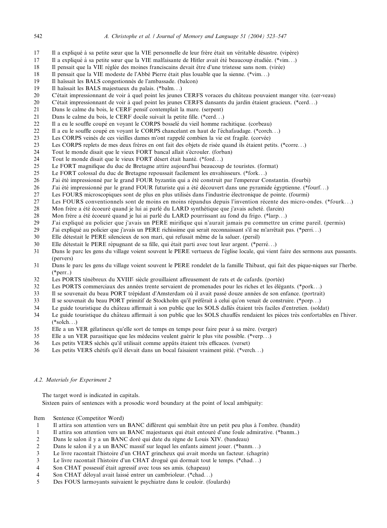- 17 Il a expliqué à sa petite sœur que la VIE personnelle de leur frère était un véritable désastre. (vipère)
- 17 Il a expliqué à sa petite sœur que la VIE malfaisante de Hitler avait été beaucoup étudiée. (\*vim...)
- 18 Il pensait que la VIE réglée des moines franciscains devait être d'une tristesse sans nom. (virée)
- 18 Il pensait que la VIE modeste de l'Abbé Pierre était plus louable que la sienne. (\*vim...)
- 19 Il haïssait les BALS congestionnés de l'ambassade. (balcon)
- 19 Il haïssait les BALS majestueux du palais. (\*balm...)
- 20 C'était impressionnant de voir à quel point les jeunes CERFS voraces du château pouvaient manger vite. (cer-veau)
- 20 C'était impressionnant de voir à quel point les jeunes CERFS dansants du jardin étaient gracieux. (\*cerd...)
- 21 Dans le calme du bois, le CERF pensif contemplait la mare. (serpent)
- 21 Dans le calme du bois, le CERF docile suivait la petite fille. (\*cerd...)
- 22 Il a eu le souffle coupé en voyant le CORPS bosselé du vieil homme rachitique. (corbeau)
- 22 Il a eu le souffle coupé en voyant le CORPS chancelant en haut de l'échafaudage. (\*corch...)
- 23 Les CORPS veinés de ces vieilles dames m'ont rappelé combien la vie est fragile. (corvée)
- 23 Les CORPS replets de mes deux frères en ont fait des objets de risée quand ils étaient petits. (\*corre...)<br>24 Tout le monde disait que le vieux FORT bancal allait s'écrouler. (forban)
- 24 Tout le monde disait que le vieux FORT bancal allait s'écrouler. (forban)
- 24 Tout le monde disait que le vieux FORT désert était hanté. (\*ford...)
- 25 Le FORT magnifique du duc de Bretagne attire aujourd-hui beaucoup de touristes. (format)
- 25 Le FORT colossal du duc de Bretagne repoussait facilement les envahisseurs. (\*fork...)
- 26 ai été impressionné par le grand FOUR byzantin qui a été construit par l'empereur Constantin. (fourbi)
- $26$ J'ai été impressionné par le grand FOUR futuriste qui a été découvert dans une pyramide égyptienne. (\*fourf...)
- 27 Les FOURS microscopiques sont de plus en plus utilisés dans l'industrie électronique de pointe. (fourmi)
- 27 Les FOURS conventionnels sont de moins en moins répandus depuis l'invention récente des micro-ondes. (\*fourk...)
- 28 Mon frère a été écoeuré quand je lui ai parlé du LARD synthétique que j'avais acheté. (larcin)
- 28 Mon frère a été écoeuré quand je lui ai parlé du LARD pourrissant au fond du frigo. (\*larp...)
- 29 ai expliqué au policier que j'avais un PERE mirifique qui n'aurait jamais pu commettre un crime pareil. (permis)
- 29 ai expliqué au policier que j'avais un PERE richissime qui serait reconnaissant s'il ne m'arrêtait pas. (\*perri...)
- 30 Elle détestait le PERE silencieux de son mari, qui refusait même de la saluer. (persil)
- 30 Elle détestait le PERE répugnant de sa fille, qui était parti avec tout leur argent. (\*perré...)
- 31 Dans le parc les gens du village voient souvent le PERE vertueux de l'église locale, qui vient faire des sermons aux passants. (pervers)
- 31 Dans le parc les gens du village voient souvent le PERE rondelet de la famille Thibaut, qui fait des pique-niques sur l'herbe. (\*perr..)
- 32 Les PORTS ténébreux du XVIII<sup>e</sup> siècle grouillaient affreusement de rats et de cafards. (portée)
- 32 Les PORTS commerciaux des années trente servaient de promenades pour les riches et les élégants. (\*pork...)
- 33 Il se souvenait du beau PORT trépidant d'Amsterdam où il avait passé douze années de son enfance. (portrait)
- 33 Il se souvenait du beau PORT primitif de Stockholm qu'il préférait à celui qu'on venait de construire. (\*porp...)
- 34 Le guide touristique du château affirmait à son public que les SOLS dallés étaient très faciles d'entretien. (soldat)
- 34 Le guide touristique du château affirmait à son public que les SOLS chauffés rendaient les pièces très confortables en l'hiver.  $(*\text{solch.} ...)$
- 35 Elle a un VER gélatineux qu'elle sort de temps en temps pour faire peur à sa mère. (verger)
- 35 Elle a un VER parasitique que les médecins veulent guérir le plus vite possible. (\*verp...)
- 36 Les petits VERS séchés qu'il utilisait comme appâts étaient très efficaces. (verset)
- 36 Les petits VERS chétifs qu'il élevait dans un bocal faisaient vraiment pitié. (\*verch...)

# A.2. Materials for Experiment 2

The target word is indicated in capitals.

Sixteen pairs of sentences with a prosodic word boundary at the point of local ambiguity:

Item Sentence (Competitor Word)

- 1 Il attira son attention vers un BANC différent qui semblait être un petit peu plus à l'ombre. (bandit)
- 1 Il attira son attention vers un BANC majestueux qui était entouré d'une foule admirative. (\*banm..)
- 2 Dans le salon il y a un BANC doré qui date du règne de Louis XIV. (bandeau)
- 2 Dans le salon il y a un BANC massif sur lequel les enfants aiment jouer. (\*banm...)
- 3 Le livre racontait l'histoire d'un CHAT grincheux qui avait mordu un facteur. (chagrin)
- 3 Le livre racontait l'histoire d'un CHAT drogué qui dormait tout le temps. (\*chad...)
- 4 Son CHAT possessif était agressif avec tous ses amis. (chapeau)
- 4 Son CHAT déloyal avait laissé entrer un cambrioleur. (\*chad...)<br>5 Des FOUS larmovants suivaient le psychiatre dans le couloir. (fo
- 5 Des FOUS larmoyants suivaient le psychiatre dans le couloir. (foulards)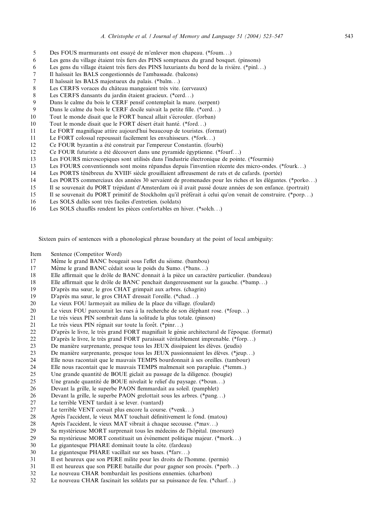- 5 Des FOUS murmurants ont essayé de m'enlever mon chapeau. (\*foum...)
- 6 Les gens du village e´taient tre`s fiers des PINS somptueux du grand bosquet. (pinsons)
- 6 Les gens du village étaient très fiers des PINS luxuriants du bord de la rivière. (\*pinl...)
- 7 Il haïssait les BALS congestionnés de l'ambassade. (balcons)
- 7 Il haïssait les BALS majestueux du palais. (\*balm...)
- 8 Les CERFS voraces du château mangeaient très vite. (cerveaux)
- 8 Les CERFS dansants du jardin étaient gracieux. (\*cerd...)
- 9 Dans le calme du bois le CERF pensif contemplait la mare. (serpent)<br>9 Dans le calme du bois le CERF docile suivait la netite fille (\*cerd)
- Dans le calme du bois le CERF docile suivait la petite fille. (\*cerd...)
- 10 Tout le monde disait que le FORT bancal allait s'écrouler. (forban)
- 10 Tout le monde disait que le FORT désert était hanté. (\*ford...)
- 11 Le FORT magnifique attire aujourd'hui beaucoup de touristes. (format)
- 11 Le FORT colossal repoussait facilement les envahisseurs. (\*fork...)
- 12 Ce FOUR byzantin a été construit par l'empereur Constantin. (fourbi)
- 12 Ce FOUR futuriste a été découvert dans une pyramide égyptienne. (\*fourf...)
- 13 Les FOURS microscopiques sont utilisés dans l'industrie électronique de pointe. (\*fourmis)
- 13 Les FOURS conventionnels sont moins répandus depuis l'invention récente des micro-ondes. (\*fourk...)
- 14 Les PORTS ténébreux du XVIII<sup>e</sup> siècle grouillaient affreusement de rats et de cafards. (portée)
- 14 Les PORTS commerciaux des années 30 servaient de promenades pour les riches et les élégantes. (\*porko...)
- 15 Il se souvenait du PORT trépidant d'Amsterdam où il avait passé douze années de son enfance. (portrait)
- 15 Il se souvenait du PORT primitif de Stockholm qu'il préférait à celui qu'on venait de construire. (\*porp...)
- 16 Les SOLS dallés sont très faciles d'entretien. (soldats)
- 16 Les SOLS chauffés rendent les pièces confortables en hiver. (\*solch...)

Sixteen pairs of sentences with a phonological phrase boundary at the point of local ambiguity:

- Item Sentence (Competitor Word)
- 17 Même le grand BANC bougeait sous l'effet du séisme. (bambou)
- 17 Même le grand BANC cédait sous le poids du Sumo. (\*bans...)
- 18 Elle affirmait que le drôle de BANC donnait à la pièce un caractère particulier. (bandeau)
- 18 Elle affirmait que le drôle de BANC penchait dangereusement sur la gauche. (\*bamp...)
- 19 D'après ma sœur, le gros CHAT grimpait aux arbres. (chagrin)
- 19 D'après ma sœur, le gros CHAT dressait l'oreille. (\*chad...)
- 20 Le vieux FOU larmoyait au milieu de la place du village. (foulard)
- 20 Le vieux FOU parcourait les rues à la recherche de son éléphant rose. (\*foup...)
- 21 Le très vieux PIN sombrait dans la solitude la plus totale. (pinson)
- 21 Le très vieux PIN régnait sur toute la forêt. (\*pinr...)
- 22 D'après le livre, le très grand FORT magnifiait le génie architectural de l'époque. (format)
- 22 D'après le livre, le très grand FORT paraissait véritablement imprenable. (\*forp...)
- 23 De manière surprenante, presque tous les JEUX dissipaient les élèves. (jeudis)<br>23 De manière surprenante, presque tous les JEUX passionnaient les élèves (\*ieu
- De manière surprenante, presque tous les JEUX passionnaient les élèves. (\*jeup...)
- 24 Elle nous racontait que le mauvais TEMPS bourdonnait à ses oreilles. (tambour)
- 24 Elle nous racontait que le mauvais TEMPS malmenait son parapluie. (\*temm..)
- 25 Une grande quantité de BOUE giclait au passage de la diligence. (bougie)
- 25 Une grande quantité de BOUE nivelait le relief du paysage. (\*boun...)
- 26 Devant la grille, le superbe PAON flemmardait au soleil. (pamphlet)
- 26 Devant la grille, le superbe PAON grelottait sous les arbres. (\*pang...)
- 27 Le terrible VENT tardait à se lever. (vantard)
- 27 Le terrible VENT corsait plus encore la course. (\*venk...)
- 28 Après l'accident, le vieux MAT touchait définitivement le fond. (matou)
- 28 Après l'accident, le vieux MAT vibrait à chaque secousse. (\*mav...)
- 29 Sa mystérieuse MORT surprenait tous les médecins de l'hôpital. (morsure)
- 29 Sa mystérieuse MORT constituait un événement politique majeur. (\*mork...)
- 30 Le gigantesque PHARE dominait toute la côte. (fardeau)
- 30 Le gigantesque PHARE vacillait sur ses bases. (\*farv...)
- 31 Il est heureux que son PERE milite pour les droits de l'homme. (permis)
- 31 Il est heureux que son PERE bataille dur pour gagner son procès. (\*perb...)
- 32 Le nouveau CHAR bombardait les positions ennemies. (charbon)
- 32 Le nouveau CHAR fascinait les soldats par sa puissance de feu. (\*charf...)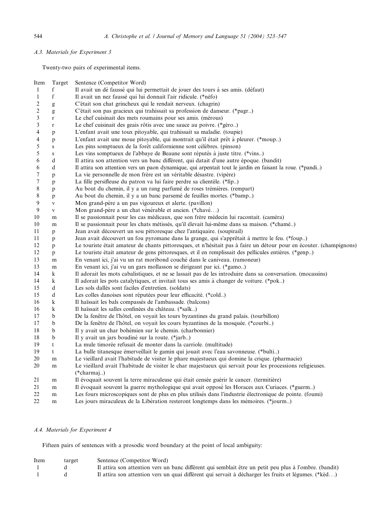# <span id="page-21-0"></span>A.3. Materials for Experiment 3

Twenty-two pairs of experimental items.

| Item           | Target       | Sentence (Competitor Word)                                                                                           |
|----------------|--------------|----------------------------------------------------------------------------------------------------------------------|
| 1              | $\mathbf{f}$ | Il avait un dé faussé qui lui permettait de jouer des tours à ses amis. (défaut)                                     |
| $\mathbf{1}$   | $\mathbf f$  | Il avait un nez faussé qui lui donnait l'air ridicule. (*néfo)                                                       |
| $\overline{c}$ | g            | C'était son chat grincheux qui le rendait nerveux. (chagrin)                                                         |
| 2              | g            | C'était son pas gracieux qui trahissait sa profession de danseur. (*pagr)                                            |
| 3              | $\mathbf r$  | Le chef cuisinait des mets roumains pour ses amis. (mérous)                                                          |
| 3              | $\mathbf r$  | Le chef cuisinait des geais rôtis avec une sauce au poivre. (*gèro)                                                  |
| 4              | p            | L'enfant avait une toux pitoyable, qui trahissait sa maladie. (toupie)                                               |
| 4              | p            | L'enfant avait une moue pitoyable, qui montrait qu'il était prêt à pleurer. (*moup)                                  |
| 5              | ${\bf S}$    | Les pins somptueux de la forêt californienne sont célèbres. (pinson)                                                 |
| 5              | ${\bf S}$    | Les vins somptueux de l'abbaye de Beaune sont réputés à juste titre. (*vins)                                         |
| 6              | d            | Il attira son attention vers un banc différent, qui datait d'une autre époque. (bandit)                              |
| 6              | d            | Il attira son attention vers un paon dynamique, qui arpentait tout le jardin en faisant la roue. (*pandi)            |
| 7              | p            | La vie personnelle de mon frère est un véritable désastre. (vipère)                                                  |
| 7              | p            | La fille persifieuse du patron va lui faire perdre sa clientèle. (*fip)                                              |
| 8              | p            | Au bout du chemin, il y a un rang parfumé de roses trémières. (rempart)                                              |
| 8              | p            | Au bout du chemin, il y a un banc parsemé de feuilles mortes. (*bamp)                                                |
| 9              | V            | Mon grand-père a un pas vigoureux et alerte. (pavillon)                                                              |
| 9              | $\mathbf{V}$ | Mon grand-père a un chat vénérable et ancien. (*chavé)                                                               |
| 10             | m            | Il se passionnait pour les cas médicaux, que son frère médecin lui racontait. (caméra)                               |
| 10             | m            | Il se passionnait pour les chats métissés, qu'il élevait lui-même dans sa maison. (*chamé)                           |
| 11             | p            | Jean avait découvert un sou pittoresque chez l'antiquaire. (soupirail)                                               |
| 11             | p            | Jean avait découvert un fou pyromane dans la grange, qui s'apprêtait à mettre le feu. (*foup)                        |
| 12             | p            | Le touriste était amateur de chants pittoresques, et n'hésitait pas à faire un détour pour en écouter. (champignons) |
| 12             | p            | Le touriste était amateur de gens pittoresques, et il en remplissait des pellicules entières. (*genp)                |
| 13             | m            | En venant ici, j'ai vu un rat moribond couché dans le caniveau. (ramoneur)                                           |
| 13             | m            | En venant ici, j'ai vu un gars mollasson se dirigeant par ici. (*gamo)                                               |
| 14             | k            | Il adorait les mots cabalistiques, et ne se lassait pas de les introduire dans sa conversation. (mocassins)          |
| 14             | k            | Il adorait les pots catalytiques, et invitait tous ses amis à changer de voiture. (*pok)                             |
| 15             | d            | Les sols dallés sont faciles d'entretien. (soldats)                                                                  |
| 15             | d            | Les colles danoises sont réputées pour leur efficacité. (*cold)                                                      |
| 16             | k            | Il haïssait les bals compassés de l'ambassade. (balcons)                                                             |
| 16             | k            | Il haïssait les salles confinées du château. (*salk)                                                                 |
| 17             | b            | De la fenêtre de l'hôtel, on voyait les tours byzantines du grand palais. (tourbillon)                               |
| 17             | b            | De la fenêtre de l'hôtel, on voyait les cours byzantines de la mosquée. (*courbi)                                    |
| 18             | b            | Il y avait un char bohémien sur le chemin. (charbonnier)                                                             |
| 18             | b            | Il y avait un jars boudiné sur la route. (*jarb)                                                                     |
| 19             | t            | La mule timorée refusait de monter dans la carriole. (multitude)                                                     |
| 19             | t            | La bulle titanesque émerveillait le gamin qui jouait avec l'eau savonneuse. (*bulti)                                 |
| 20             | m            | Le vieillard avait l'habitude de visiter le phare majestueux qui domine la crique. (pharmacie)                       |
| 20             | m            | Le vieillard avait l'habitude de visiter le char majestueux qui servait pour les processions religieuses.            |
|                |              | $(*charmai.)$                                                                                                        |
| 21             | m            | Il évoquait souvent la terre miraculeuse qui était censée guérir le cancer. (termitière)                             |
| 21             | m            | Il évoquait souvent la guerre mythologique qui avait opposé les Horaces aux Curiaces. (*guerm)                       |
| 22             | m            | Les fours microscopiques sont de plus en plus utilisés dans l'industrie électronique de pointe. (foumi)              |
| 22             | m            | Les jours miraculeux de la Libération resteront longtemps dans les mémoires. (*jourm)                                |

# A.4. Materials for Experiment 4

Fifteen pairs of sentences with a prosodic word boundary at the point of local ambiguity:

| Item | target | Sentence (Competitor Word)                                                                             |
|------|--------|--------------------------------------------------------------------------------------------------------|
|      |        | Il attira son attention vers un banc différent qui semblait être un petit peu plus à l'ombre. (bandit) |
|      |        | Il attira son attention vers un quai différent qui servait à décharger les fruits et légumes. (*ked)   |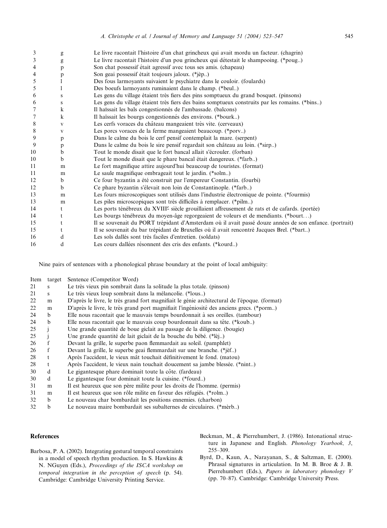<span id="page-22-0"></span>

| 3  | g | Le livre racontait l'histoire d'un chat grincheux qui avait mordu un facteur. (chagrin)                    |
|----|---|------------------------------------------------------------------------------------------------------------|
| 3  | g | Le livre racontait l'histoire d'un pou grincheux qui détestait le shampooing. (*poug)                      |
| 4  | p | Son chat possessif était agressif avec tous ses amis. (chapeau)                                            |
| 4  | p | Son geai possessif était toujours jaloux. (*jèp)                                                           |
| 5  |   | Des fous larmoyants suivaient le psychiatre dans le couloir. (foulards)                                    |
| 5  |   | Des boeufs larmoyants ruminaient dans le champ. (*beul)                                                    |
| 6  | S | Les gens du village étaient très fiers des pins somptueux du grand bosquet. (pinsons)                      |
| 6  | s | Les gens du village étaient très fiers des bains somptueux construits par les romains. (*bins)             |
|    | k | Il haïssait les bals congestionnés de l'ambassade. (balcons)                                               |
|    | k | Il haïssait les bourgs congestionnés des environs. (*bourk)                                                |
| 8  | V | Les cerfs voraces du château mangeaient très vite. (cerveaux)                                              |
| 8  | V | Les porcs voraces de la ferme mangeaient beaucoup. (*porv)                                                 |
| 9  | p | Dans le calme du bois le cerf pensif contemplait la mare. (serpent)                                        |
| 9  | p | Dans le calme du bois le sire pensif regardait son château au loin. (*sirp)                                |
| 10 | b | Tout le monde disait que le fort bancal allait s'écrouler. (forban)                                        |
| 10 | b | Tout le monde disait que le phare bancal était dangereux. (*farb)                                          |
| 11 | m | Le fort magnifique attire aujourd'hui beaucoup de touristes. (format)                                      |
| 11 | m | Le saule magnifique ombrageait tout le jardin. (*solm)                                                     |
| 12 | b | Ce four byzantin a été construit par l'empereur Constantin. (fourbi)                                       |
| 12 | b | Ce phare byzantin s'élevait non loin de Constantinople. (*farb)                                            |
| 13 | m | Les fours microscopiques sont utilisés dans l'industrie électronique de pointe. (*fourmis)                 |
| 13 | m | Les piles microscopiques sont très difficiles à remplacer. (*pilm)                                         |
| 14 | t | Les ports ténébreux du XVIII <sup>e</sup> siècle grouillaient affreusement de rats et de cafards. (portée) |
| 14 |   | Les bourgs ténébreux du moyen-âge regorgeaient de voleurs et de mendiants. (*bourt)                        |
| 15 |   | Il se souvenait du PORT trépidant d'Amsterdam où il avait passé douze années de son enfance. (portrait)    |
| 15 | t | Il se souvenait du bar trépidant de Bruxelles où il avait rencontré Jacques Brel. (*bart)                  |
| 16 | d | Les sols dallés sont très faciles d'entretien. (soldats)                                                   |
| 16 | d | Les cours dallées résonnent des cris des enfants. (*kourd)                                                 |

Nine pairs of sentences with a phonological phrase boundary at the point of local ambiguity:

| Item | target | Sentence (Competitor Word)                                                                   |
|------|--------|----------------------------------------------------------------------------------------------|
| 21   | s      | Le très vieux pin sombrait dans la solitude la plus totale. (pinson)                         |
| 21   | s      | Le très vieux loup sombrait dans la mélancolie. (*lous)                                      |
| 22   | m      | D'après le livre, le très grand fort magnifiait le génie architectural de l'époque. (format) |
| 22   | m      | D'après le livre, le très grand port magnifiait l'ingéniosité des anciens grecs. (*porm)     |
| 24   | b      | Elle nous racontait que le mauvais temps bourdonnait à ses oreilles. (tambour)               |
| 24   | b      | Elle nous racontait que le mauvais coup bourdonnait dans sa tête. (*koub)                    |
| 25   |        | Une grande quantité de boue giclait au passage de la diligence. (bougie)                     |
| 25   |        | Une grande quantité de lait giclait de la bouche du bébé. (*lèj)                             |
| 26   | f      | Devant la grille, le superbe paon flemmardait au soleil. (pamphlet)                          |
| 26   | f      | Devant la grille, le superbe geai flemmardait sur une branche. (*jef)                        |
| 28   | t      | Après l'accident, le vieux mât touchait définitivement le fond. (matou)                      |
| 28   | t      | Après l'accident, le vieux nain touchait doucement sa jambe blessée. (*nint)                 |
| 30   | d      | Le gigantesque phare dominait toute la côte. (fardeau)                                       |
| 30   | d      | Le gigantesque four dominait toute la cuisine. (*fourd)                                      |
| 31   | m      | Il est heureux que son père milite pour les droits de l'homme. (permis)                      |
| 31   | m      | Il est heureux que son rôle milite en faveur des réfugiés. (*rolm)                           |
| 32   | b      | Le nouveau char bombardait les positions ennemies. (charbon)                                 |
| 32   | b      | Le nouveau maire bombardait ses subalternes de circulaires. (*mèrb)                          |

# References

Barbosa, P. A. (2002). Integrating gestural temporal constraints in a model of speech rhythm production. In S. Hawkins & N. NGuyen (Eds.), Proceedings of the ISCA workshop on temporal integration in the perception of speech (p. 54). Cambridge: Cambridge University Printing Service.

Beckman, M., & Pierrehumbert, J. (1986). Intonational structure in Japanese and English. Phonology Yearbook, 3, 255–309.

Byrd, D., Kaun, A., Narayanan, S., & Saltzman, E. (2000). Phrasal signatures in articulation. In M. B. Broe & J. B. Pierrehumbert (Eds.), Papers in laboratory phonology V (pp. 70–87). Cambridge: Cambridge University Press.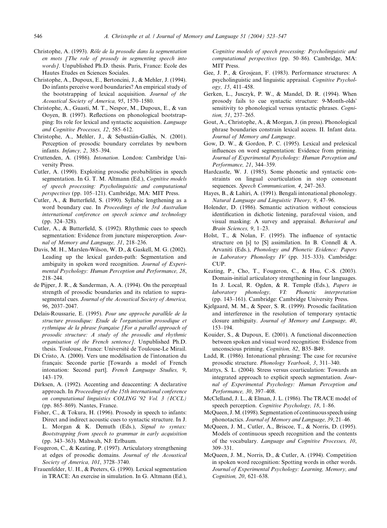- <span id="page-23-0"></span>Christophe, A. (1993). Rôle de la prosodie dans la segmentation en mots [The role of prosody in segmenting speech into words]. Unpublished Ph.D. thesis. Paris, France: Ecole des Hautes Etudes en Sciences Sociales.
- Christophe, A., Dupoux, E., Bertoncini, J., & Mehler, J. (1994). Do infants perceive word boundaries? An empirical study of the bootstrapping of lexical acquisition. Journal of the Acoustical Society of America, 95, 1570–1580.
- Christophe, A., Guasti, M. T., Nespor, M., Dupoux, E., & van Ooyen, B. (1997). Reflections on phonological bootstrapping: Its role for lexical and syntactic acquisition. Language and Cognitive Processes, 12, 585–612.
- Christophe, A., Mehler, J., & Sebastián-Gallés, N. (2001). Perception of prosodic boundary correlates by newborn infants. Infancy, 2, 385–394.
- Cruttenden, A. (1986). Intonation. London: Cambridge University Press.
- Cutler, A. (1990). Exploiting prosodic probabilities in speech segmentation. In G. T. M. Altmann (Ed.), Cognitive models of speech processing: Psycholinguistic and computational perspectives (pp. 105–121). Cambridge, MA: MIT Press.
- Cutler, A., & Butterfield, S. (1990). Syllabic lengthening as a word boundary cue. In Proceedings of the 3rd Australian international conference on speech science and technology (pp. 324–328).
- Cutler, A., & Butterfield, S. (1992). Rhythmic cues to speech segmentation: Evidence from juncture misperception. Journal of Memory and Language, 31, 218–236.
- Davis, M. H., Marslen-Wilson, W. D., & Gaskell, M. G. (2002). Leading up the lexical garden-path: Segmentation and ambiguity in spoken word recognition. Journal of Experimental Psychology: Human Perception and Performance, 28, 218–244.
- de Pijper, J. R., & Sanderman, A. A. (1994). On the perceptual strength of prosodic boundaries and its relation to suprasegmental cues. Journal of the Acoustical Society of America, 96, 2037–2047.
- Delais-Roussarie, E. (1995). Pour une approche parallèle de la structure prosodique: Etude de l'organisation prosodique et rythmique de la phrase française [For a parallel approach of prosodic structure: A study of the prosodic and rhythmic organisation of the French sentence]. Unpublished Ph.D. thesis. Toulouse, France: Université de Toulouse-Le Mirail.
- Di Cristo, A. (2000). Vers une modélisation de l'intonation du français: Seconde partie [Towards a model of French intonation: Second part]. French Language Studies, 9, 143–179.
- Dirksen, A. (1992). Accenting and deaccenting: A declarative approach. In Proceedings of the 15th international conference on computational linguistics COLING '92 Vol. 3 (ICCL) (pp. 865–869). Nantes, France.
- Fisher, C., & Tokura, H. (1996). Prosody in speech to infants: Direct and indirect acoustic cues to syntactic structure. In J. L. Morgan & K. Demuth (Eds.), Signal to syntax: Bootstrapping from speech to grammar in early acquisition (pp. 343–363). Mahwah, NJ: Erlbaum.
- Fougeron, C., & Keating, P. (1997). Articulatory strengthening at edges of prosodic domains. Journal of the Acoustical Society of America, 101, 3728–3740.
- Frauenfelder, U. H., & Peeters, G. (1990). Lexical segmentation in TRACE: An exercise in simulation. In G. Altmann (Ed.),

Cognitive models of speech processing: Psycholinguistic and computational perspectives (pp. 50–86). Cambridge, MA: MIT Press.

- Gee, J. P., & Grosjean, F. (1983). Performance structures: A psycholinguistic and linguistic appraisal. Cognitive Psychology, 15, 411–458.
- Gerken, L., Jusczyk, P. W., & Mandel, D. R. (1994). When prosody fails to cue syntactic structure: 9-Month-olds' sensitivity to phonological versus syntactic phrases. Cognition, 51, 237–265.
- Gout, A., Christophe, A., & Morgan, J. (in press). Phonological phrase boundaries constrain lexical access. II. Infant data. Journal of Memory and Language.
- Gow, D. W., & Gordon, P. C. (1995). Lexical and prelexical influences on word segmentation: Evidence from priming. Journal of Experimental Psychology: Human Perception and Performance, 21, 344–359.
- Hardcastle, W. J. (1985). Some phonetic and syntactic constraints on lingual coarticulation in stop consonant sequences. Speech Communication, 4, 247-263.
- Hayes, B., & Lahiri, A. (1991). Bengali intonational phonology. Natural Language and Linguistic Theory, 9, 47–96.
- Holender, D. (1986). Semantic activation without conscious identification in dichotic listening, parafoveal vision, and visual masking: A survey and appraisal. Behavioral and Brain Sciences, 9, 1–23.
- Holst, T., & Nolan, F. (1995). The influence of syntactic structure on [s] to [S] assimilation. In B. Connell & A. Arvaniti (Eds.), Phonology and Phonetic Evidence: Papers in Laboratory Phonology IV (pp. 315-333). Cambridge: CUP.
- Keating, P., Cho, T., Fougeron, C., & Hsu, C.-S. (2003). Domain-initial articulatory strengthening in four languages. In J. Local, R. Ogden, & R. Temple (Eds.), Papers in laboratory phonology, VI: Phonetic interpretation (pp. 143–161). Cambridge: Cambridge University Press.
- Kjelgaard, M. M., & Speer, S. R. (1999). Prosodic facilitation and interference in the resolution of temporary syntactic closure ambiguity. Journal of Memory and Language, 40, 153–194.
- Kouider, S., & Dupoux, E. (2001). A functional disconnection between spoken and visual word recognition: Evidence from unconscious priming. Cognition, 82, B35-B49.
- Ladd, R. (1986). Intonational phrasing: The case for recursive prosodic structure. Phonology Yearbook, 3, 311-340.
- Mattys, S. L. (2004). Stress versus coarticulation: Towards an integrated approach to explicit speech segmentation. Journal of Experimental Psychology: Human Perception and Performance, 30, 397–408.
- McClelland, J. L., & Elman, J. L. (1986). The TRACE model of speech perception. Cognitive Psychology, 18, 1-86.
- McQueen, J.M. (1998). Segmentation of continuous speech using phonotactics. Journal of Memory and Language, 39, 21–46.
- McQueen, J. M., Cutler, A., Briscoe, T., & Norris, D. (1995). Models of continuous speech recognition and the contents of the vocabulary. Language and Cognitive Processes, 10, 309–331.
- McQueen, J. M., Norris, D., & Cutler, A. (1994). Competition in spoken word recognition: Spotting words in other words. Journal of Experimental Psychology: Learning, Memory, and Cognition, 20, 621–638.